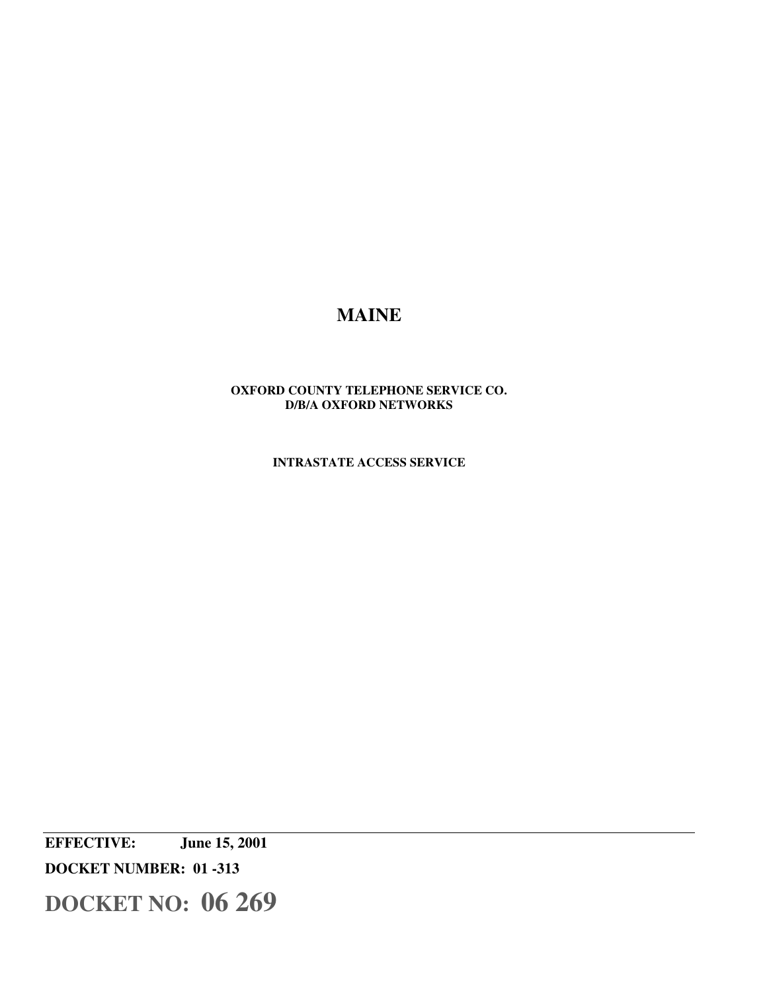# **MAINE**

# **OXFORD COUNTY TELEPHONE SERVICE CO. D/B/A OXFORD NETWORKS**

**INTRASTATE ACCESS SERVICE** 

**EFFECTIVE: June 15, 2001 DOCKET NUMBER: 01 -313**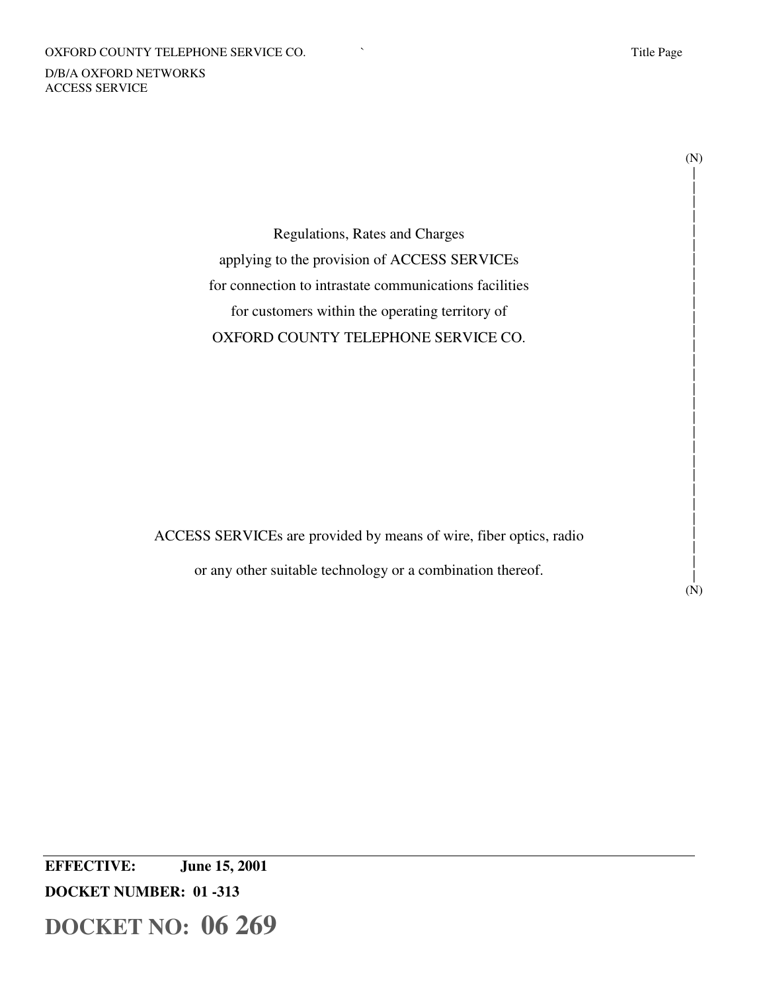#### OXFORD COUNTY TELEPHONE SERVICE CO.  $\qquad \qquad$  Title Page

D/B/A OXFORD NETWORKS ACCESS SERVICE

(N) | | | | | | | | | | | | | | | | | | | | | | | | | | | |

Regulations, Rates and Charges applying to the provision of ACCESS SERVICEs for connection to intrastate communications facilities for customers within the operating territory of OXFORD COUNTY TELEPHONE SERVICE CO.

ACCESS SERVICEs are provided by means of wire, fiber optics, radio

or any other suitable technology or a combination thereof.

| (N)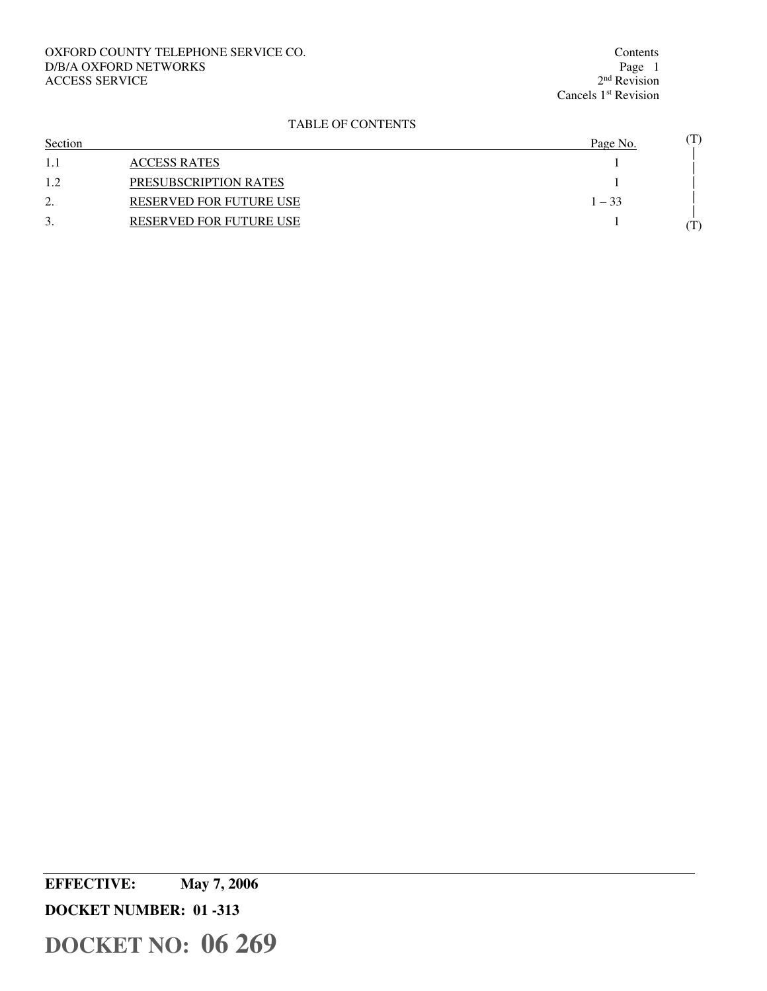# OXFORD COUNTY TELEPHONE SERVICE CO. Contents Contents Contents Page 1 D/B/A OXFORD NETWORKS ACCESS SERVICE

 $2<sup>nd</sup>$  Revision Cancels 1<sup>st</sup> Revision

# TABLE OF CONTENTS

| Section                       |                                | Page No. | $(\mathrm{T})$ |
|-------------------------------|--------------------------------|----------|----------------|
| 1.1                           | <b>ACCESS RATES</b>            |          |                |
| 12<br>.                       | PRESUBSCRIPTION RATES          |          |                |
| ◠<br>$\overline{\phantom{a}}$ | <b>RESERVED FOR FUTURE USE</b> | $1 - 33$ |                |
| 3.                            | <b>RESERVED FOR FUTURE USE</b> |          | $\rm T)$       |

**EFFECTIVE: May 7, 2006** 

**DOCKET NUMBER: 01 -313**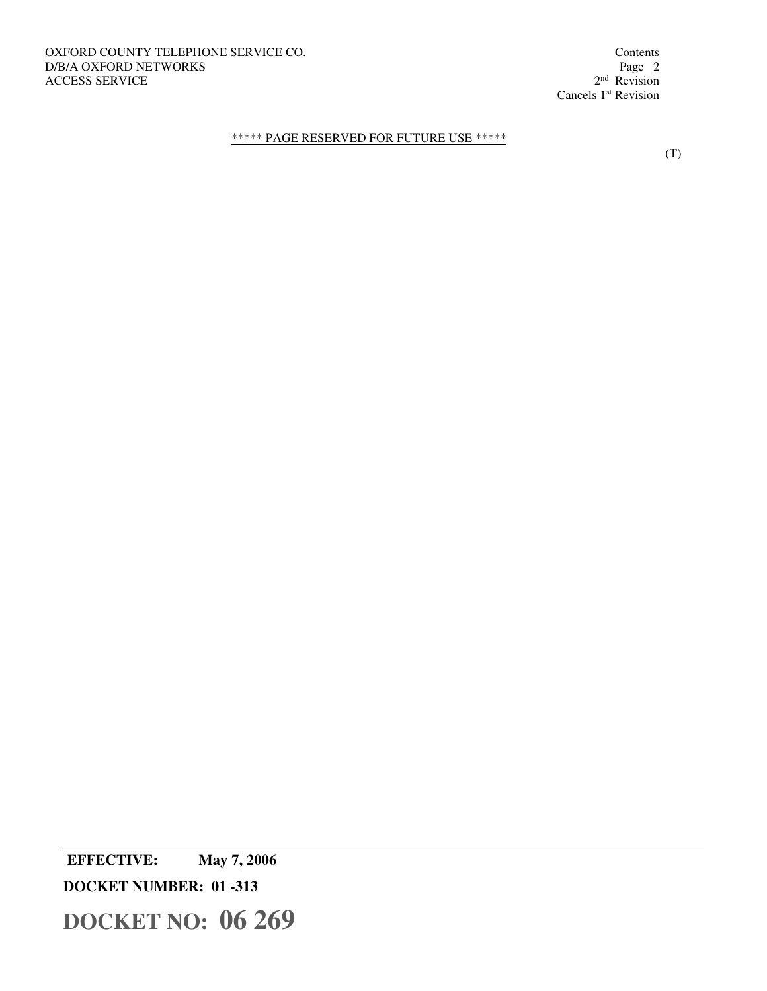<sup>nd</sup> Revision Cancels 1<sup>st</sup> Revision

# \*\*\*\*\* PAGE RESERVED FOR FUTURE USE \*\*\*\*\*

(T)

 **EFFECTIVE: May 7, 2006 DOCKET NUMBER: 01 -313 DOCKET NO: 06 269**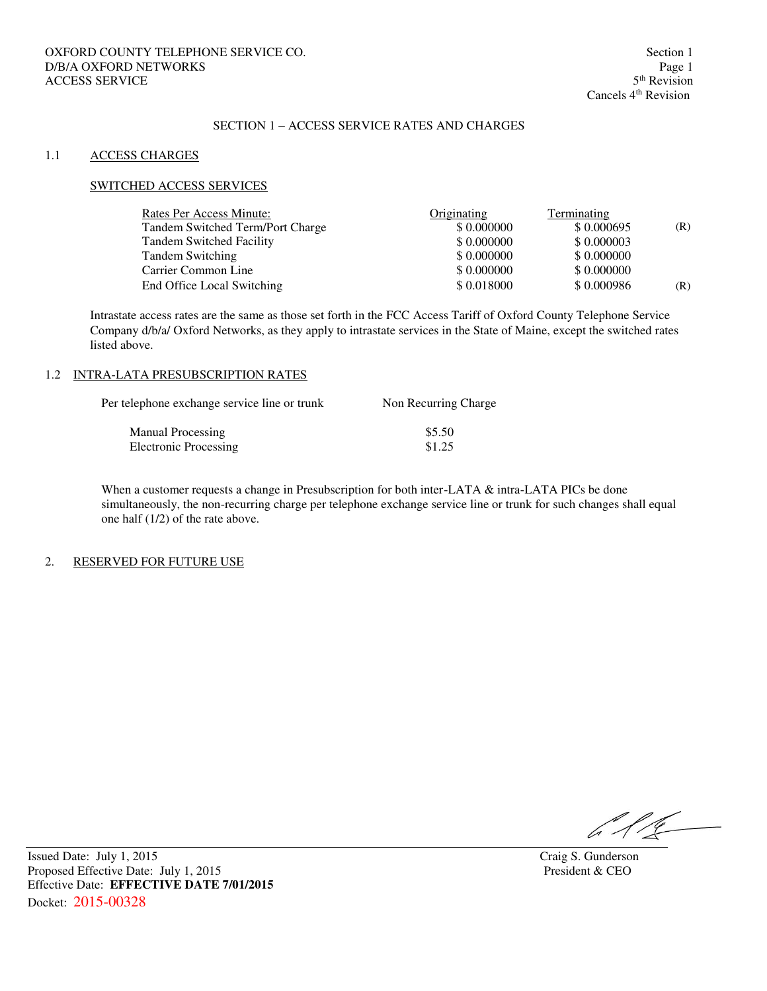# SECTION 1 – ACCESS SERVICE RATES AND CHARGES

#### 1.1 ACCESS CHARGES

#### SWITCHED ACCESS SERVICES

| Rates Per Access Minute:         | Originating | Terminating |     |
|----------------------------------|-------------|-------------|-----|
| Tandem Switched Term/Port Charge | \$0.000000  | \$0.000695  | (R) |
| <b>Tandem Switched Facility</b>  | \$0.000000  | \$0.000003  |     |
| <b>Tandem Switching</b>          | \$0.000000  | \$0.000000  |     |
| Carrier Common Line              | \$0.000000  | \$0.000000  |     |
| End Office Local Switching       | \$0.018000  | \$0.000986  | (R) |

Intrastate access rates are the same as those set forth in the FCC Access Tariff of Oxford County Telephone Service Company d/b/a/ Oxford Networks, as they apply to intrastate services in the State of Maine, except the switched rates listed above.

#### 1.2 INTRA-LATA PRESUBSCRIPTION RATES

| Per telephone exchange service line or trunk | Non Recurring Charge |  |
|----------------------------------------------|----------------------|--|
| Manual Processing                            | \$5.50               |  |
| <b>Electronic Processing</b>                 | \$1.25               |  |

When a customer requests a change in Presubscription for both inter-LATA & intra-LATA PICs be done simultaneously, the non-recurring charge per telephone exchange service line or trunk for such changes shall equal one half (1/2) of the rate above.

#### 2. RESERVED FOR FUTURE USE

 $616 -$ 

Issued Date: July 1, 2015<br>
Proposed Effective Date: July 1, 2015<br>
President & CEO<br>
President & CEO Proposed Effective Date: July 1, 2015 Effective Date: **EFFECTIVE DATE 7/01/2015** Docket: 2015-00328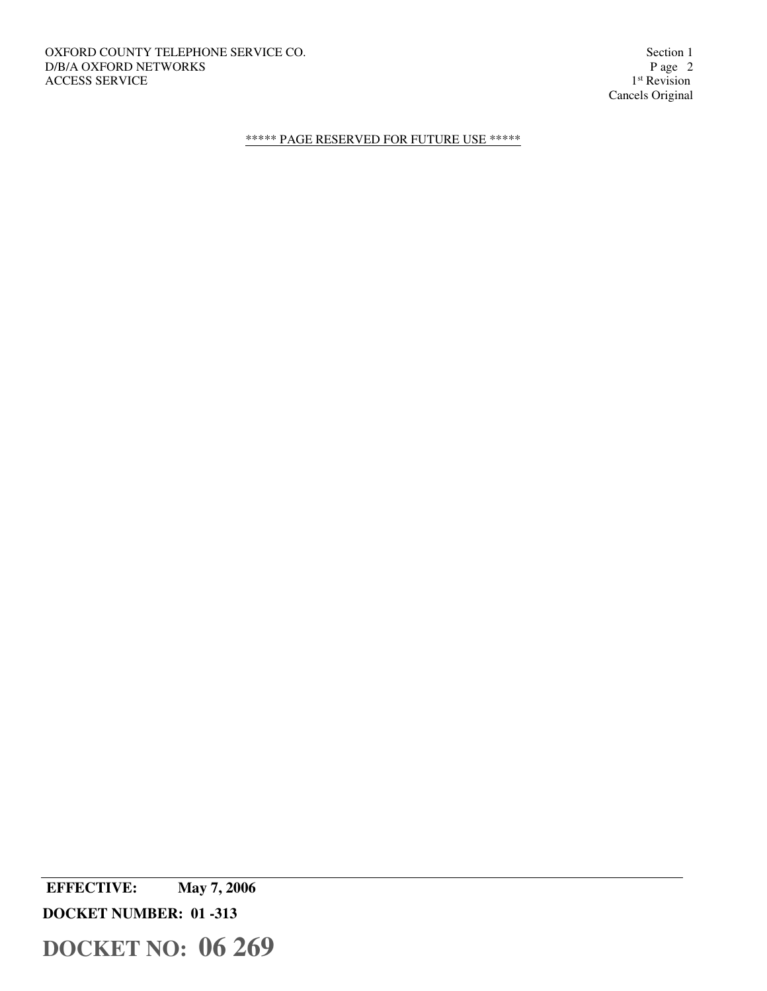Cancels Original

# \*\*\*\*\* PAGE RESERVED FOR FUTURE USE \*\*\*\*\*

 **EFFECTIVE: May 7, 2006 DOCKET NUMBER: 01 -313 DOCKET NO: 06 269**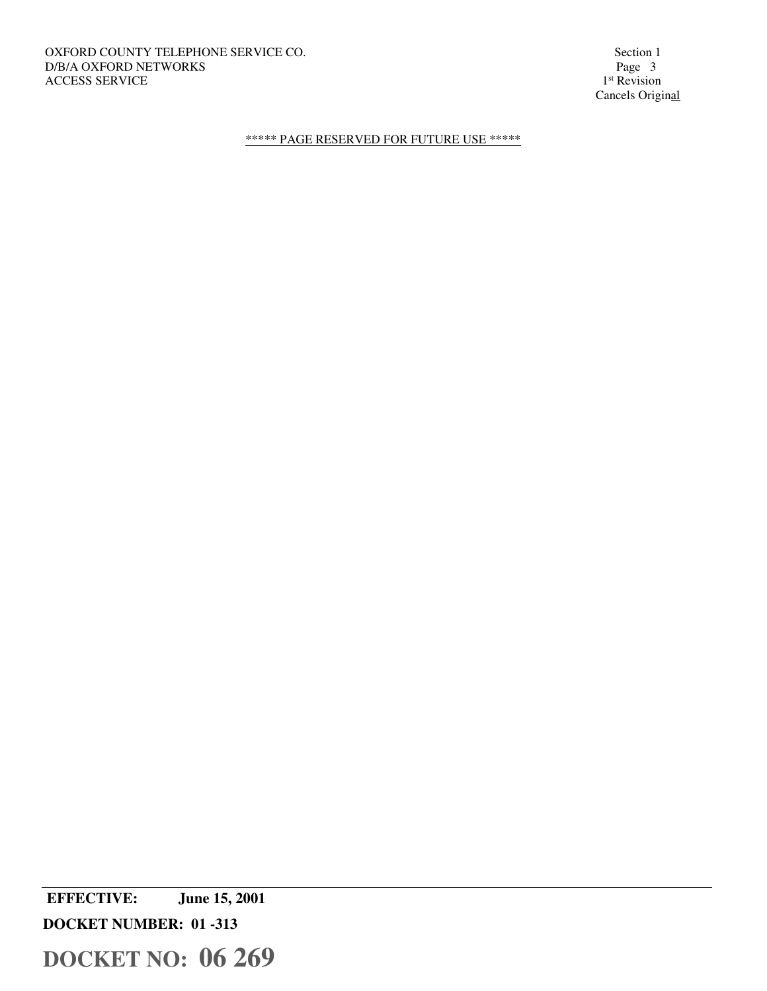1<sup>st</sup> Revision Cancels Original

# \*\*\*\*\* PAGE RESERVED FOR FUTURE USE \*\*\*\*\*

 **EFFECTIVE: June 15, 2001** 

**DOCKET NUMBER: 01 -313**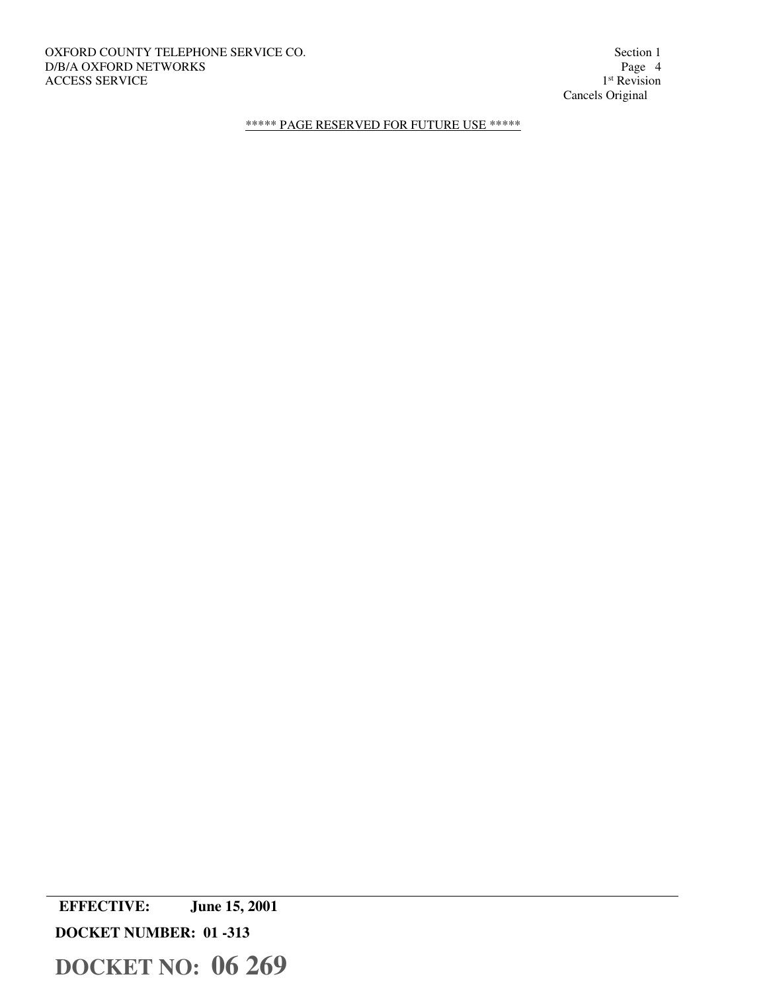# OXFORD COUNTY TELEPHONE SERVICE CO. Section 1<br>D/B/A OXFORD NETWORKS Page 4 D/B/A OXFORD NETWORKS ACCESS SERVICE

1<sup>st</sup> Revision Cancels Original

\*\*\*\*\* PAGE RESERVED FOR FUTURE USE \*\*\*\*\*

 **EFFECTIVE: June 15, 2001 DOCKET NUMBER: 01 -313**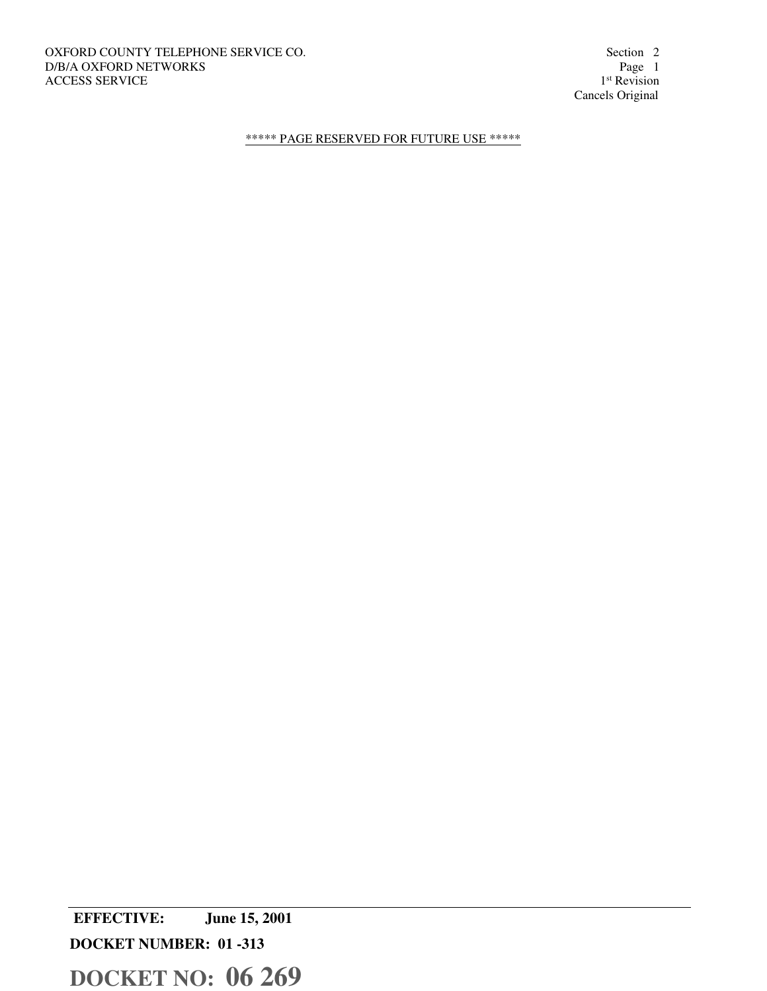1<sup>st</sup> Revision Cancels Original

\*\*\*\*\* PAGE RESERVED FOR FUTURE USE \*\*\*\*\*

 **EFFECTIVE: June 15, 2001 DOCKET NUMBER: 01 -313**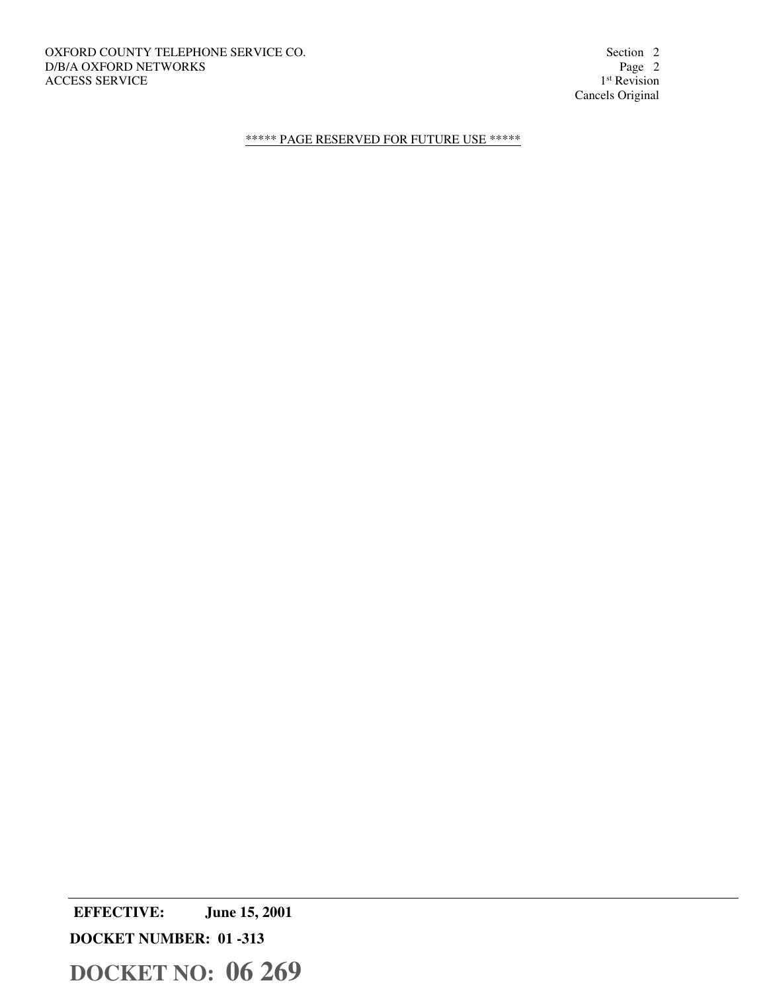1<sup>st</sup> Revision Cancels Original

\*\*\*\*\* PAGE RESERVED FOR FUTURE USE \*\*\*\*\*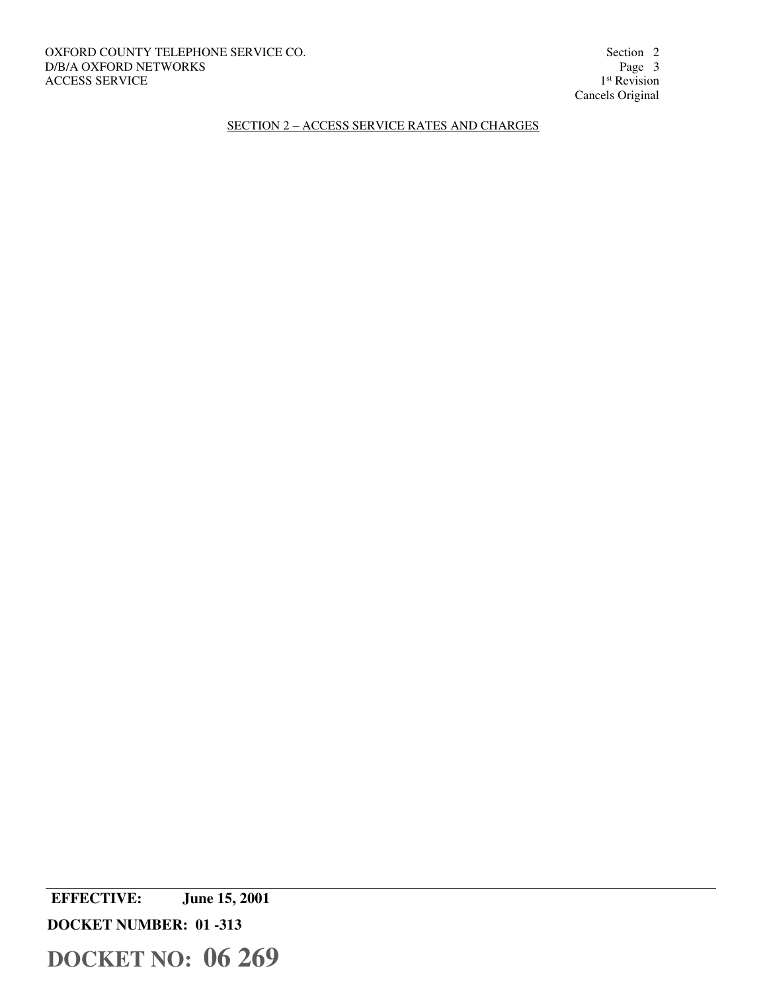1<sup>st</sup> Revision Cancels Original

SECTION 2 – ACCESS SERVICE RATES AND CHARGES

 **EFFECTIVE: June 15, 2001** 

**DOCKET NUMBER: 01 -313**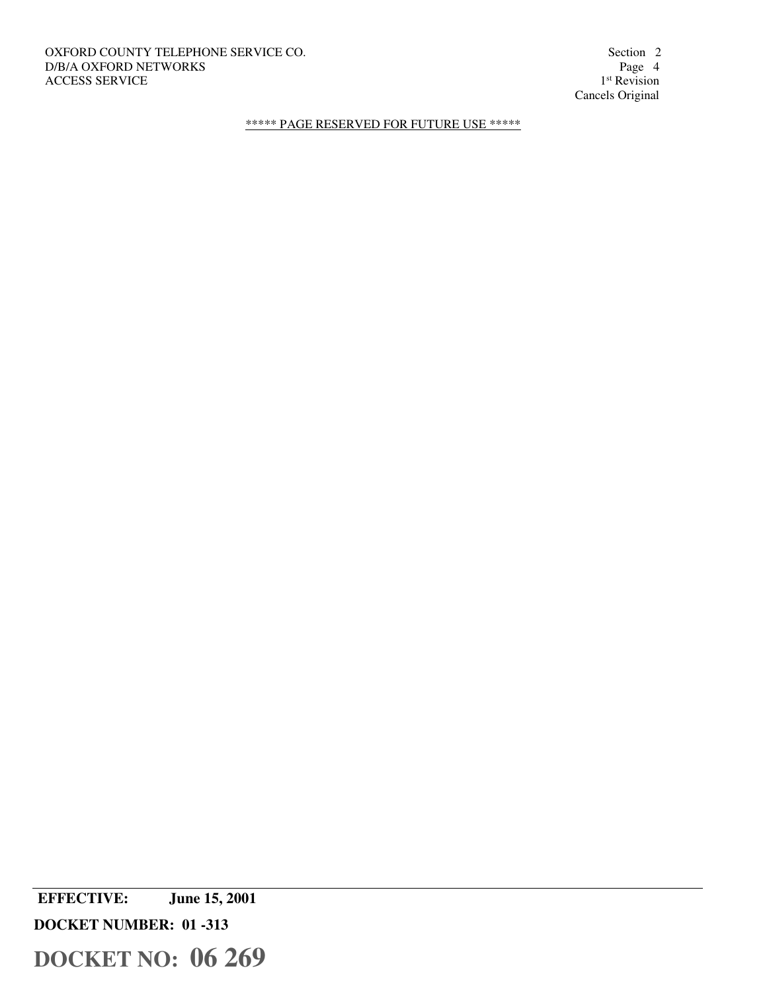OXFORD COUNTY TELEPHONE SERVICE CO. Section 2<br>D/B/A OXFORD NETWORKS Page 4 D/B/A OXFORD NETWORKS ACCESS SERVICE

1<sup>st</sup> Revision Cancels Original

\*\*\*\*\* PAGE RESERVED FOR FUTURE USE \*\*\*\*\*

 **EFFECTIVE: June 15, 2001** 

**DOCKET NUMBER: 01 -313**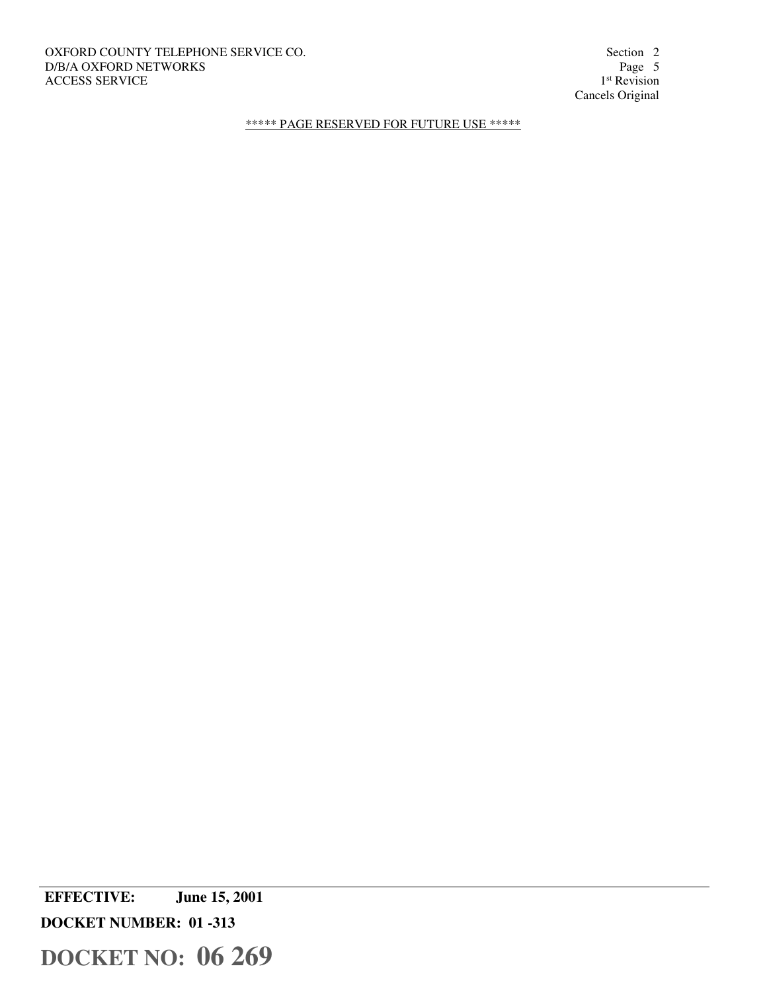OXFORD COUNTY TELEPHONE SERVICE CO. Section 2 Section 2 D/B/A OXFORD NETWORKS Page 5 D/B/A OXFORD NETWORKS ACCESS SERVICE

1<sup>st</sup> Revision Cancels Original

\*\*\*\*\* PAGE RESERVED FOR FUTURE USE \*\*\*\*\*

 **EFFECTIVE: June 15, 2001** 

**DOCKET NUMBER: 01 -313**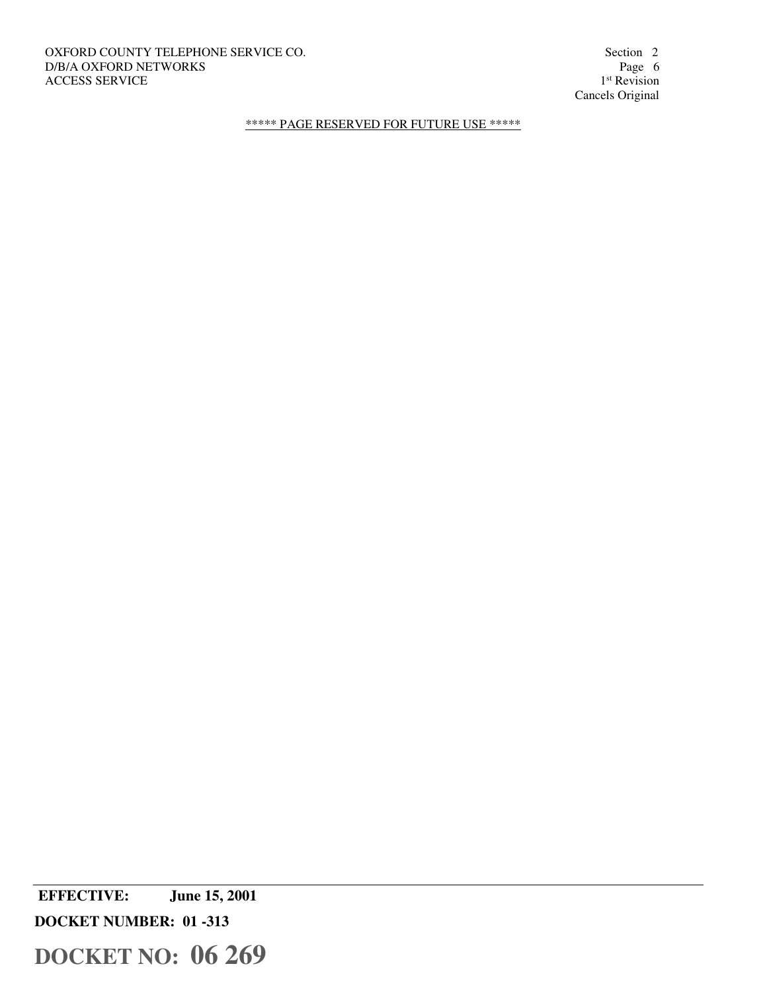OXFORD COUNTY TELEPHONE SERVICE CO. Section 2 Section 2 D/B/A OXFORD NETWORKS Page 6 D/B/A OXFORD NETWORKS ACCESS SERVICE

1<sup>st</sup> Revision Cancels Original

\*\*\*\*\* PAGE RESERVED FOR FUTURE USE \*\*\*\*\*

 **EFFECTIVE: June 15, 2001** 

**DOCKET NUMBER: 01 -313**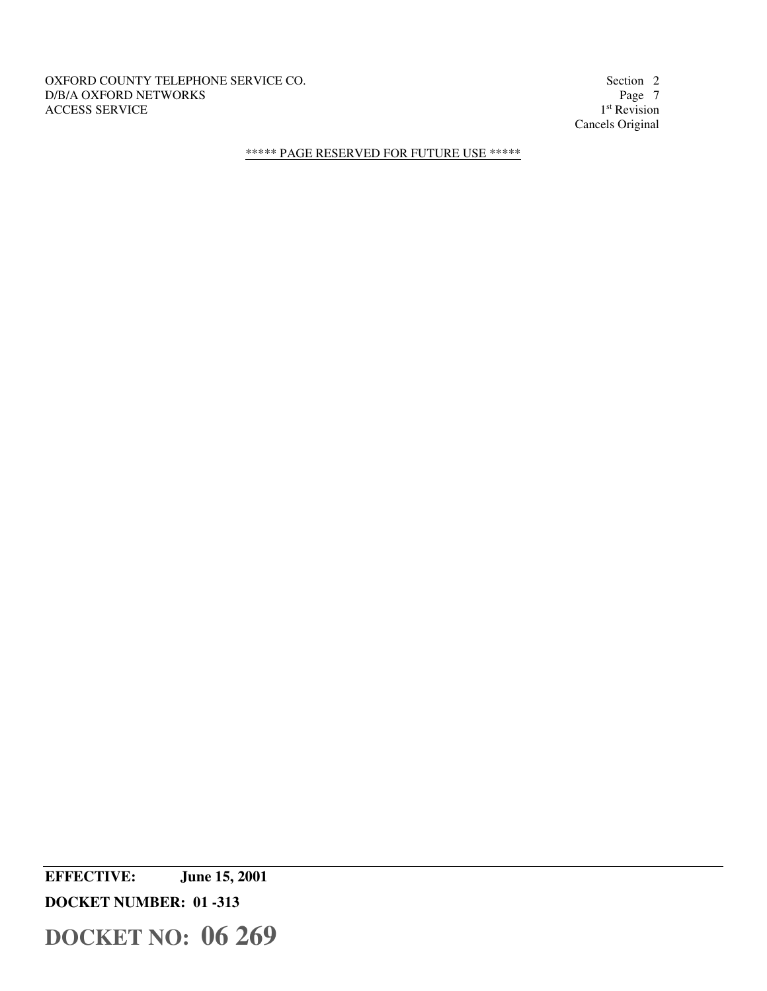### OXFORD COUNTY TELEPHONE SERVICE CO. Section 2<br>D/B/A OXFORD NETWORKS Page 7 D/B/A OXFORD NETWORKS ACCESS SERVICE

1<sup>st</sup> Revision Cancels Original

\*\*\*\*\* PAGE RESERVED FOR FUTURE USE \*\*\*\*\*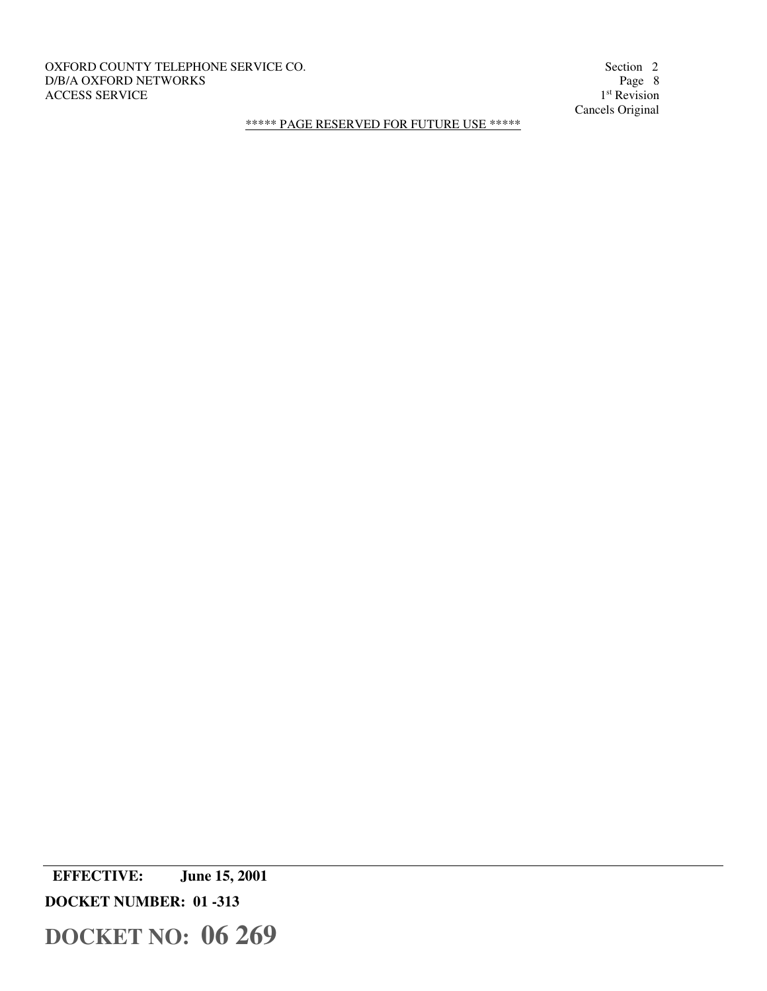OXFORD COUNTY TELEPHONE SERVICE CO. Section 2 D/B/A OXFORD NETWORKS Page 8 ACCESS SERVICE

1<sup>st</sup> Revision Cancels Original

\*\*\*\*\* PAGE RESERVED FOR FUTURE USE \*\*\*\*\*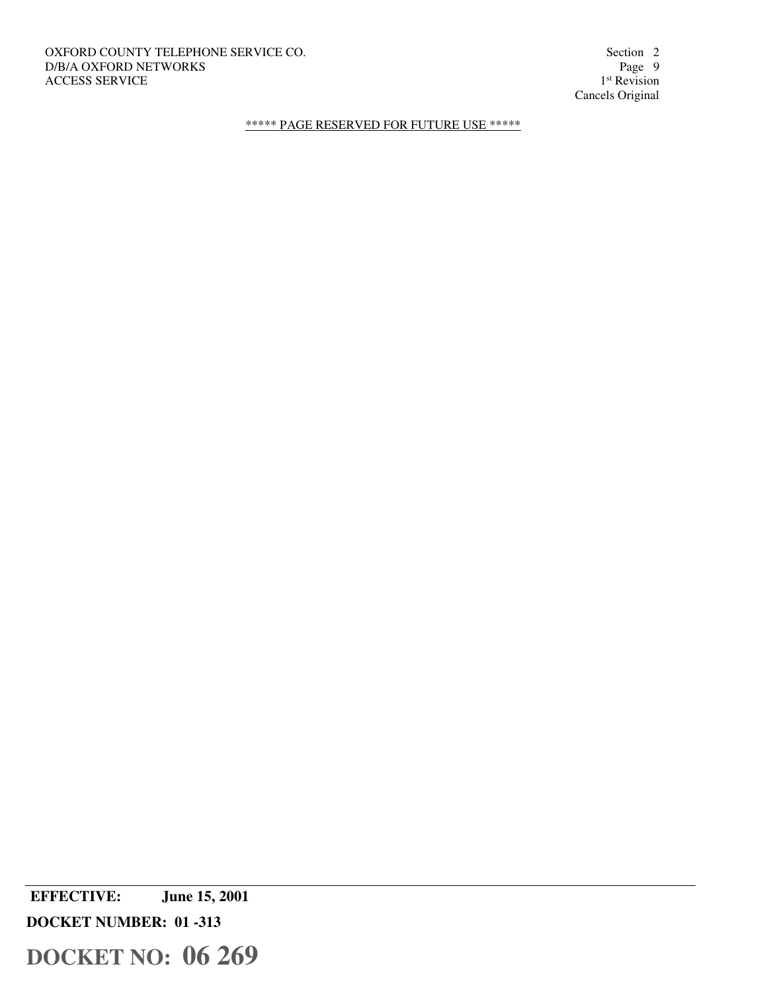OXFORD COUNTY TELEPHONE SERVICE CO. Section 2<br>D/B/A OXFORD NETWORKS Page 9 D/B/A OXFORD NETWORKS ACCESS SERVICE

1<sup>st</sup> Revision Cancels Original

\*\*\*\*\* PAGE RESERVED FOR FUTURE USE \*\*\*\*\*

 **EFFECTIVE: June 15, 2001** 

**DOCKET NUMBER: 01 -313**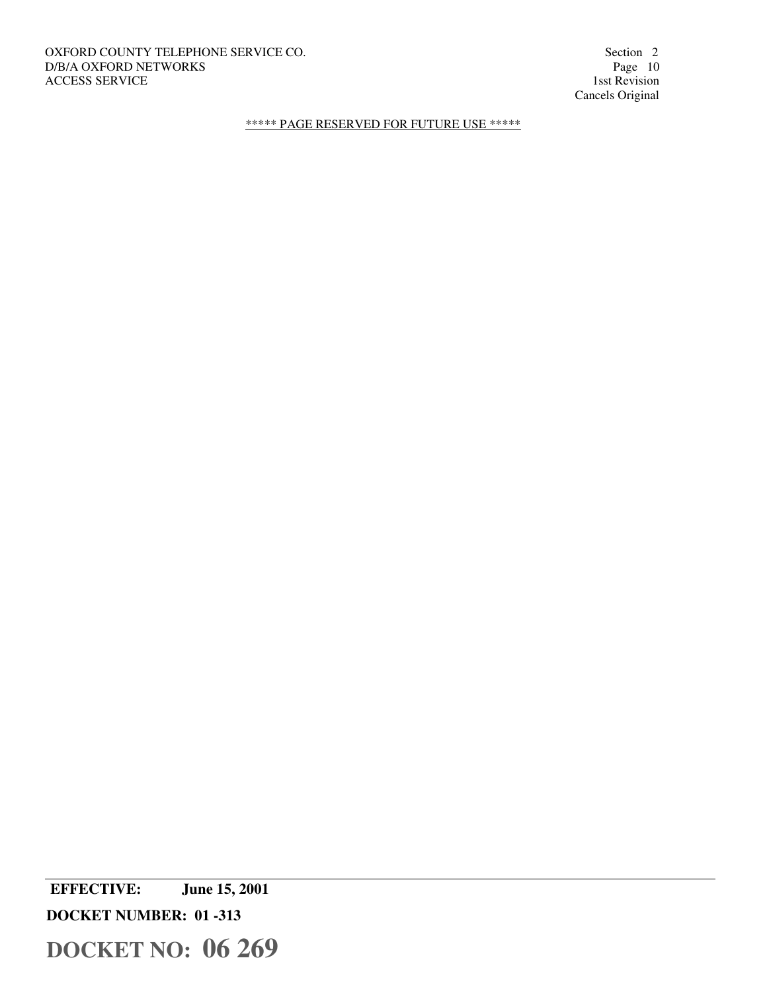# OXFORD COUNTY TELEPHONE SERVICE CO. Section 2 Section 2 D/B/A OXFORD NETWORKS Page 10 D/B/A OXFORD NETWORKS Page 10<br>ACCESS SERVICE 1sst Revision ACCESS SERVICE

Cancels Original

\*\*\*\*\* PAGE RESERVED FOR FUTURE USE \*\*\*\*\*

 **EFFECTIVE: June 15, 2001** 

**DOCKET NUMBER: 01 -313**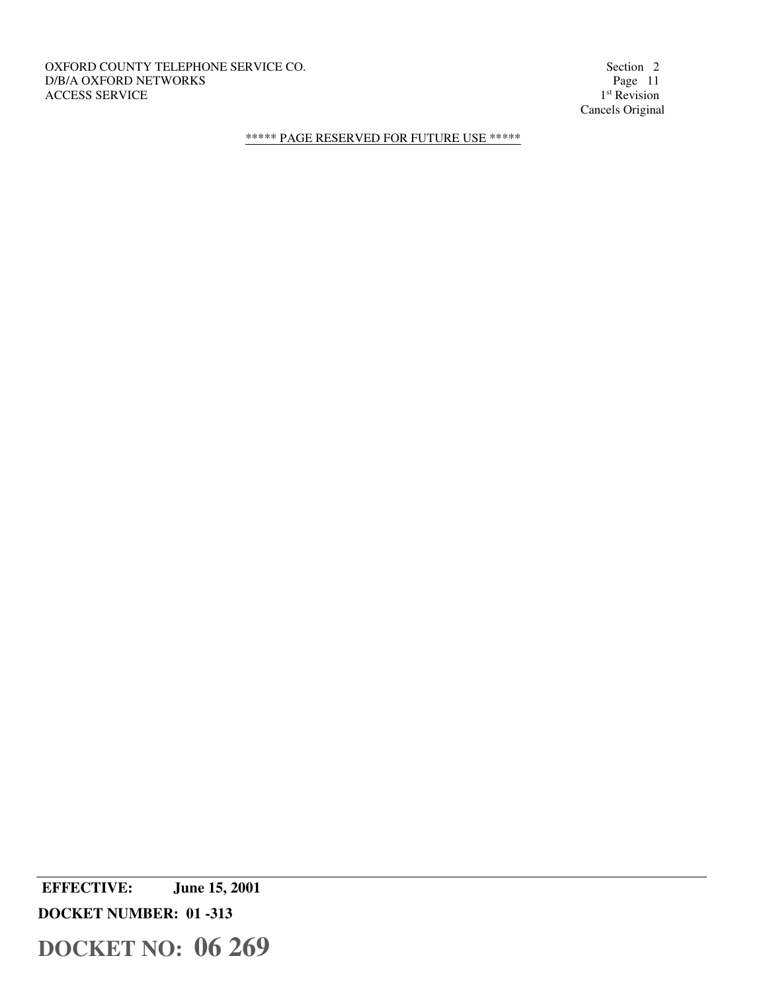OXFORD COUNTY TELEPHONE SERVICE CO. Section 2 D/B/A OXFORD NETWORKS Page 11 ACCESS SERVICE

1<sup>st</sup> Revision Cancels Original

\*\*\*\*\* PAGE RESERVED FOR FUTURE USE \*\*\*\*\*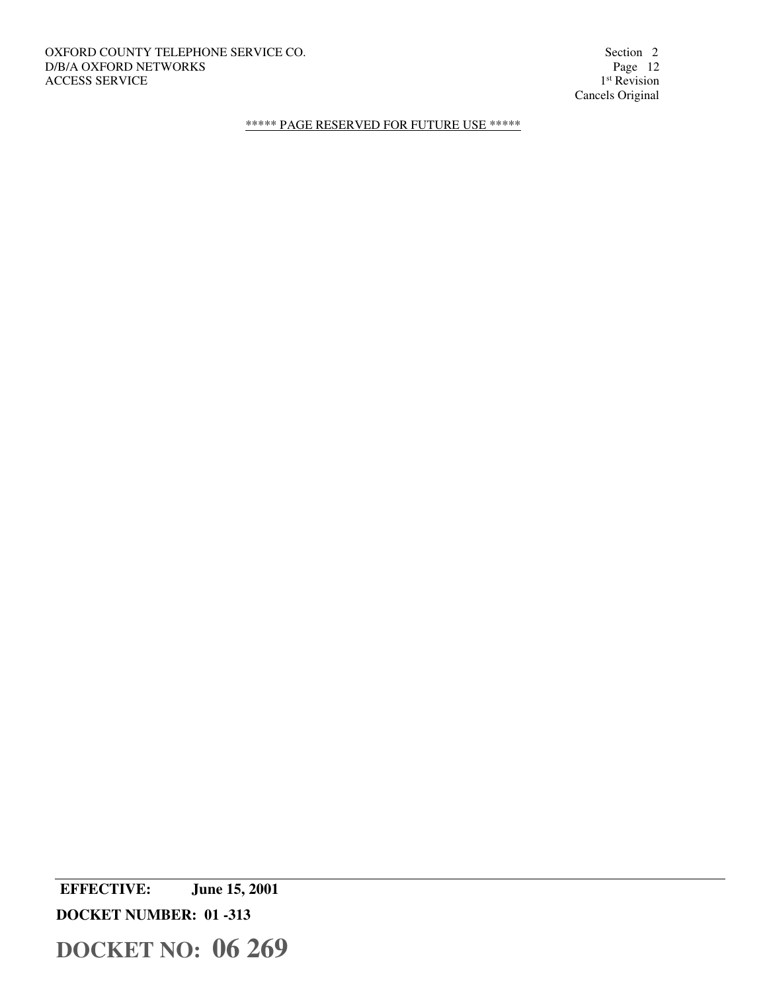OXFORD COUNTY TELEPHONE SERVICE CO. Section 2 Section 2 D/B/A OXFORD NETWORKS Page 12 D/B/A OXFORD NETWORKS ACCESS SERVICE

1<sup>st</sup> Revision Cancels Original

\*\*\*\*\* PAGE RESERVED FOR FUTURE USE \*\*\*\*\*

 **EFFECTIVE: June 15, 2001 DOCKET NUMBER: 01 -313**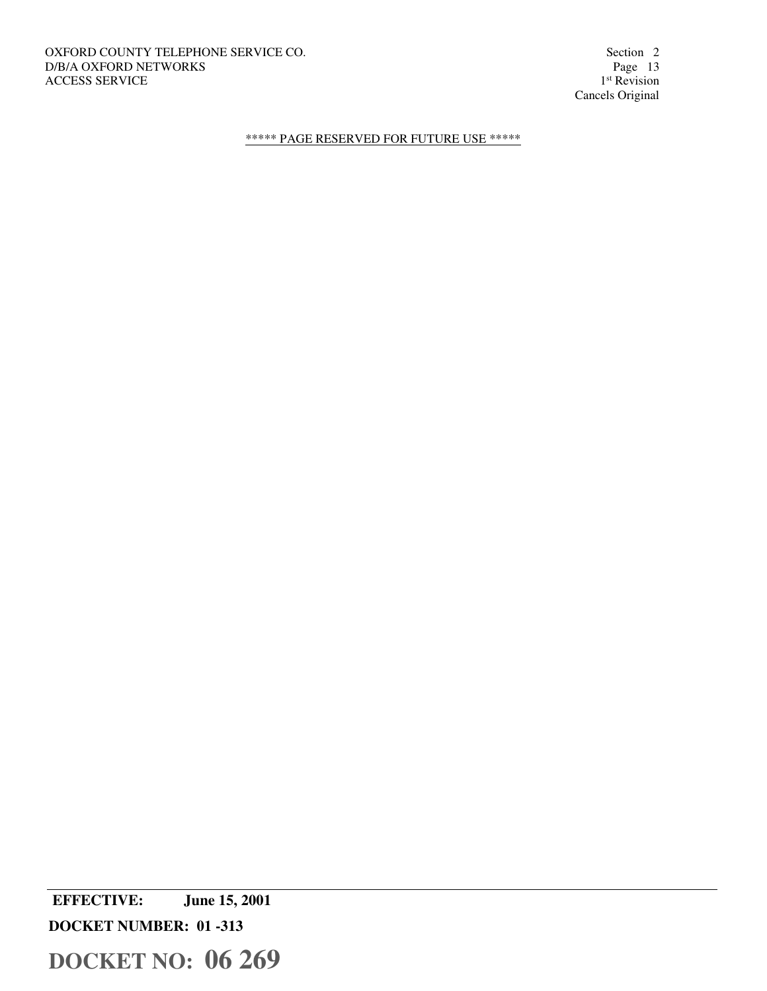1<sup>st</sup> Revision Cancels Original

\*\*\*\*\* PAGE RESERVED FOR FUTURE USE \*\*\*\*\*

 **EFFECTIVE: June 15, 2001 DOCKET NUMBER: 01 -313**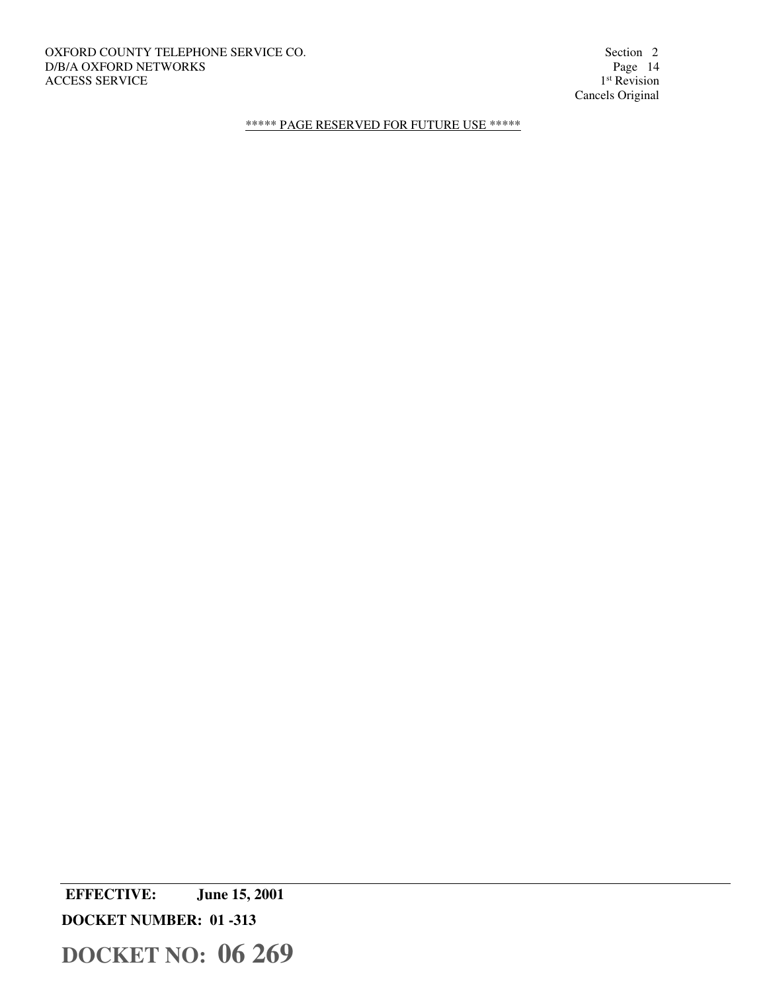OXFORD COUNTY TELEPHONE SERVICE CO. Section 2 Section 2 D/B/A OXFORD NETWORKS Page 14 D/B/A OXFORD NETWORKS ACCESS SERVICE

1<sup>st</sup> Revision Cancels Original

\*\*\*\*\* PAGE RESERVED FOR FUTURE USE \*\*\*\*\*

 **EFFECTIVE: June 15, 2001** 

**DOCKET NUMBER: 01 -313**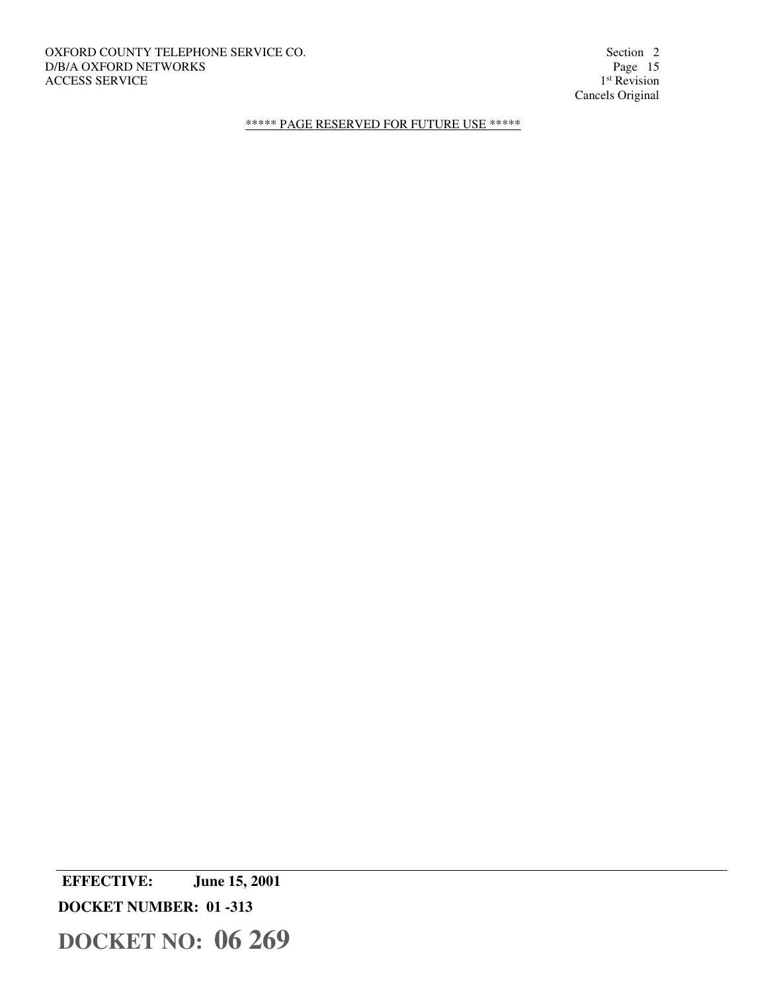OXFORD COUNTY TELEPHONE SERVICE CO. Section 2 Section 2 D/B/A OXFORD NETWORKS Page 15 D/B/A OXFORD NETWORKS ACCESS SERVICE

1<sup>st</sup> Revision Cancels Original

\*\*\*\*\* PAGE RESERVED FOR FUTURE USE \*\*\*\*\*

 **EFFECTIVE: June 15, 2001** 

**DOCKET NUMBER: 01 -313**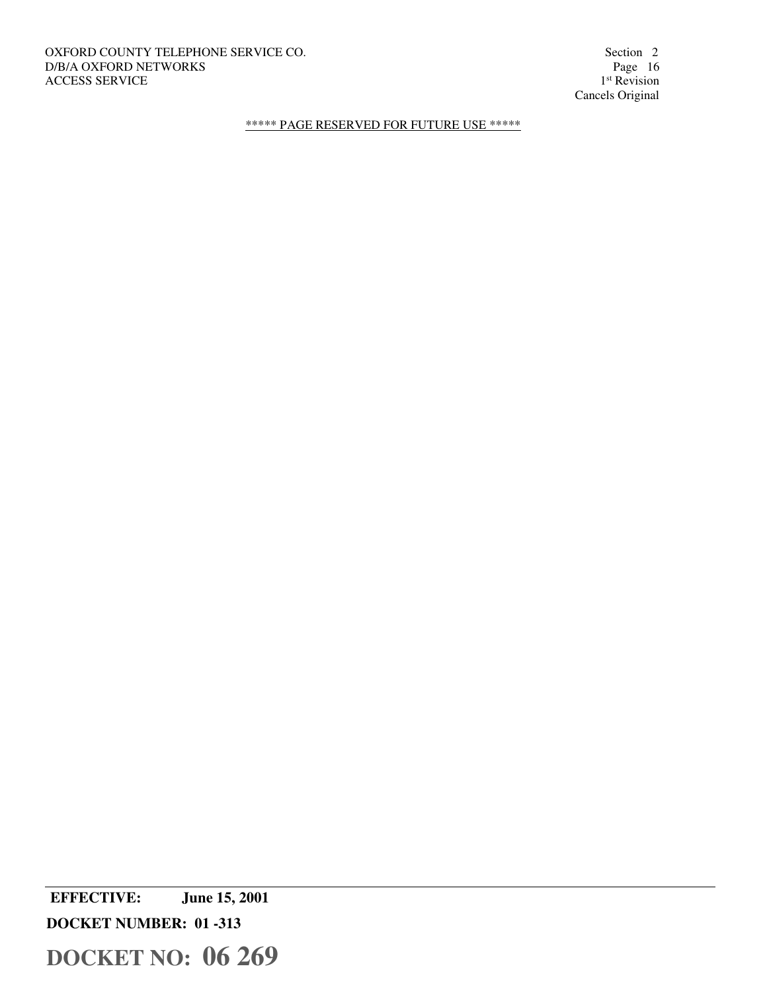OXFORD COUNTY TELEPHONE SERVICE CO. Section 2 Section 2 D/B/A OXFORD NETWORKS Page 16 D/B/A OXFORD NETWORKS ACCESS SERVICE

1<sup>st</sup> Revision Cancels Original

\*\*\*\*\* PAGE RESERVED FOR FUTURE USE \*\*\*\*\*

 **EFFECTIVE: June 15, 2001 DOCKET NUMBER: 01 -313**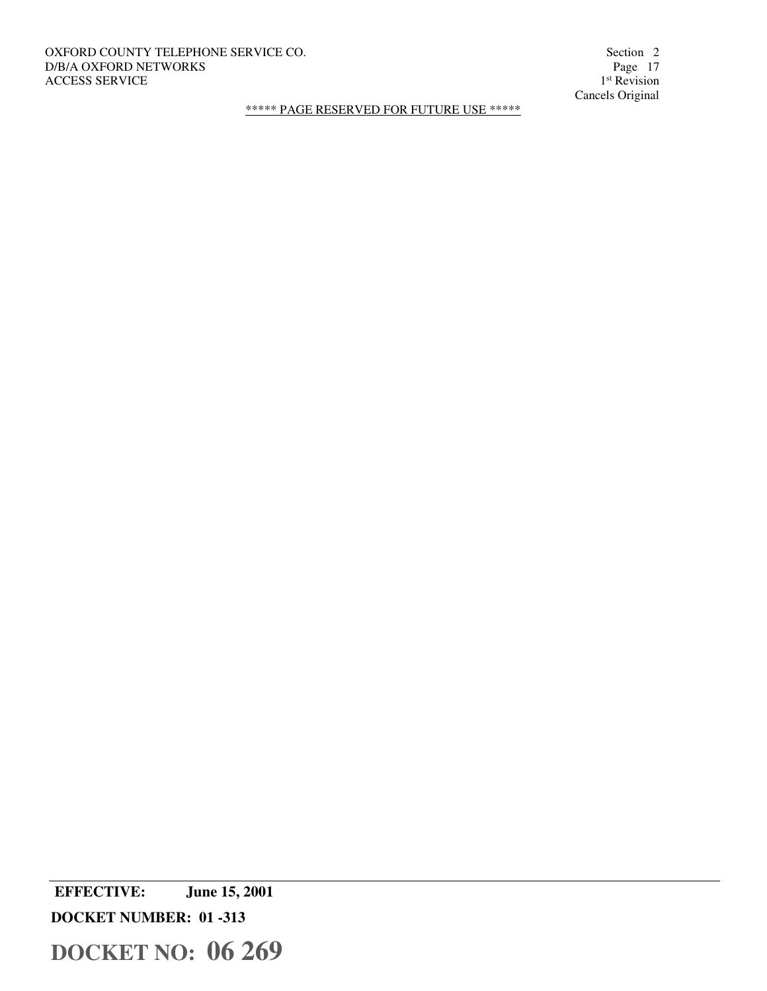# OXFORD COUNTY TELEPHONE SERVICE CO. Section 2 Section 2 D/B/A OXFORD NETWORKS Page 17 D/B/A OXFORD NETWORKS ACCESS SERVICE

1<sup>st</sup> Revision Cancels Original

\*\*\*\*\* PAGE RESERVED FOR FUTURE USE \*\*\*\*\*

 **EFFECTIVE: June 15, 2001 DOCKET NUMBER: 01 -313**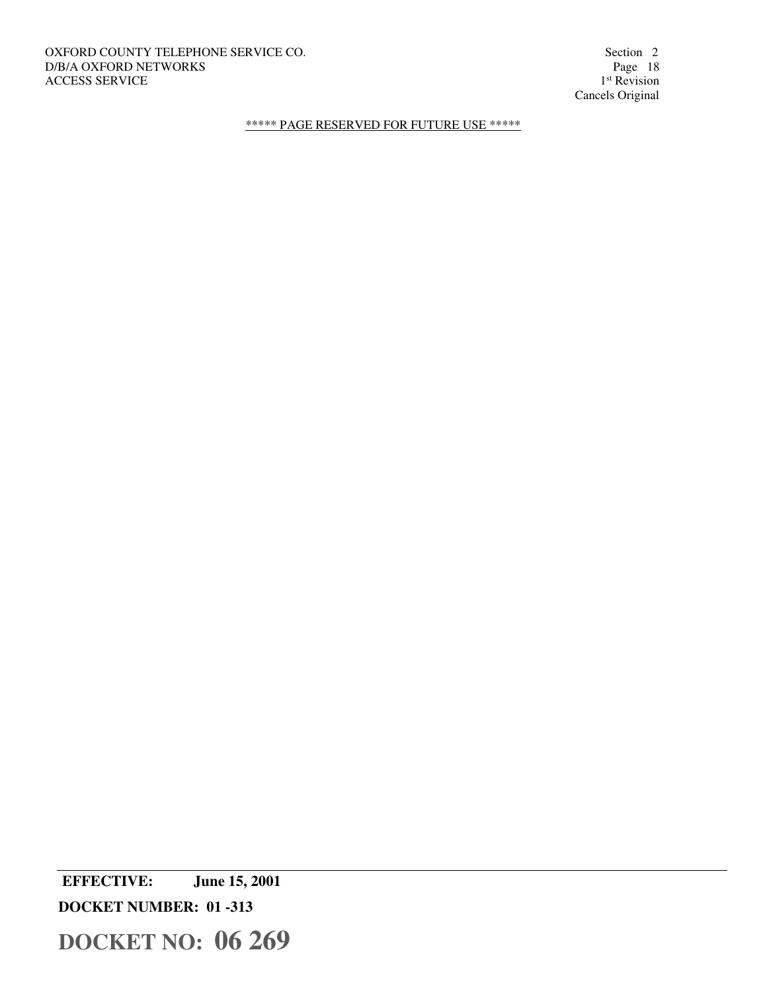OXFORD COUNTY TELEPHONE SERVICE CO. Section 2 Section 2 D/B/A OXFORD NETWORKS Page 18 D/B/A OXFORD NETWORKS ACCESS SERVICE

1<sup>st</sup> Revision Cancels Original

\*\*\*\*\* PAGE RESERVED FOR FUTURE USE \*\*\*\*\*

 **EFFECTIVE: June 15, 2001** 

**DOCKET NUMBER: 01 -313**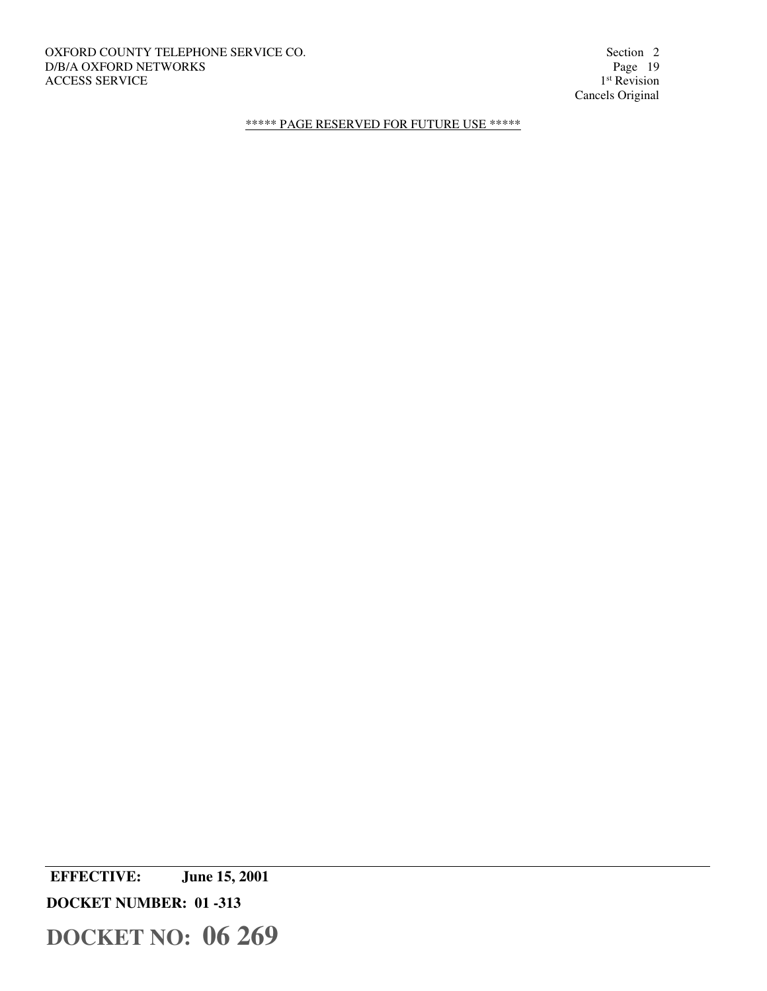OXFORD COUNTY TELEPHONE SERVICE CO. Section 2 Section 2 D/B/A OXFORD NETWORKS Page 19 D/B/A OXFORD NETWORKS ACCESS SERVICE

1<sup>st</sup> Revision Cancels Original

\*\*\*\*\* PAGE RESERVED FOR FUTURE USE \*\*\*\*\*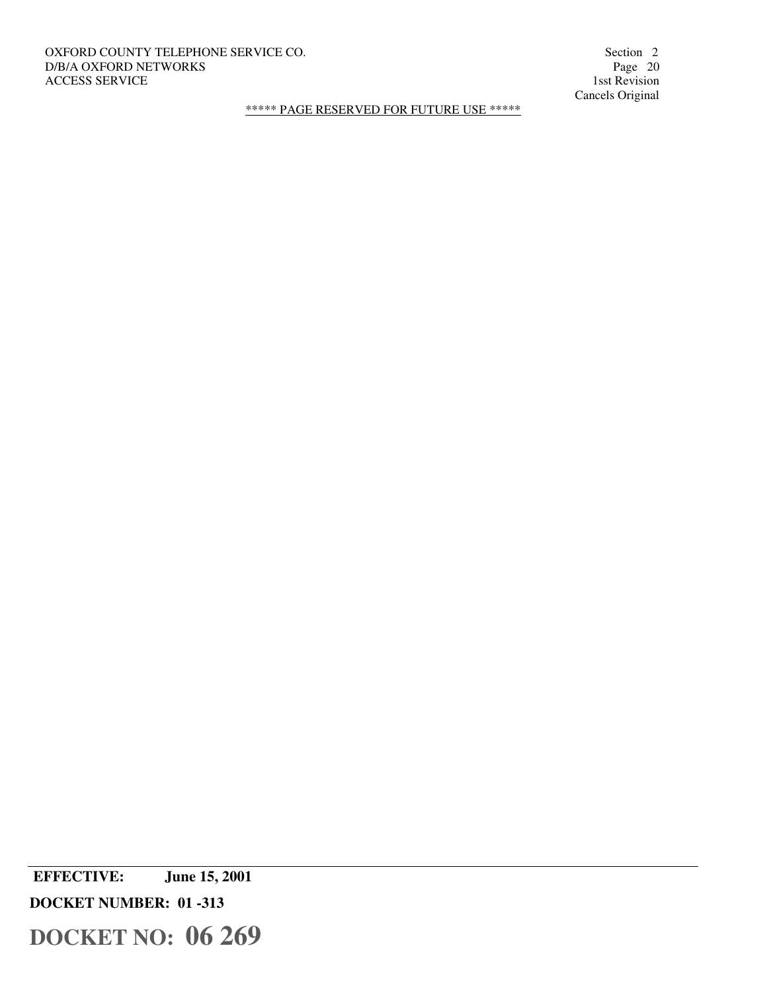# OXFORD COUNTY TELEPHONE SERVICE CO. Section 2 Section 2 D/B/A OXFORD NETWORKS Page 20 D/B/A OXFORD NETWORKS Page 20<br>ACCESS SERVICE 1sst Revision ACCESS SERVICE

Cancels Original

\*\*\*\*\* PAGE RESERVED FOR FUTURE USE \*\*\*\*\*

 **EFFECTIVE: June 15, 2001 DOCKET NUMBER: 01 -313**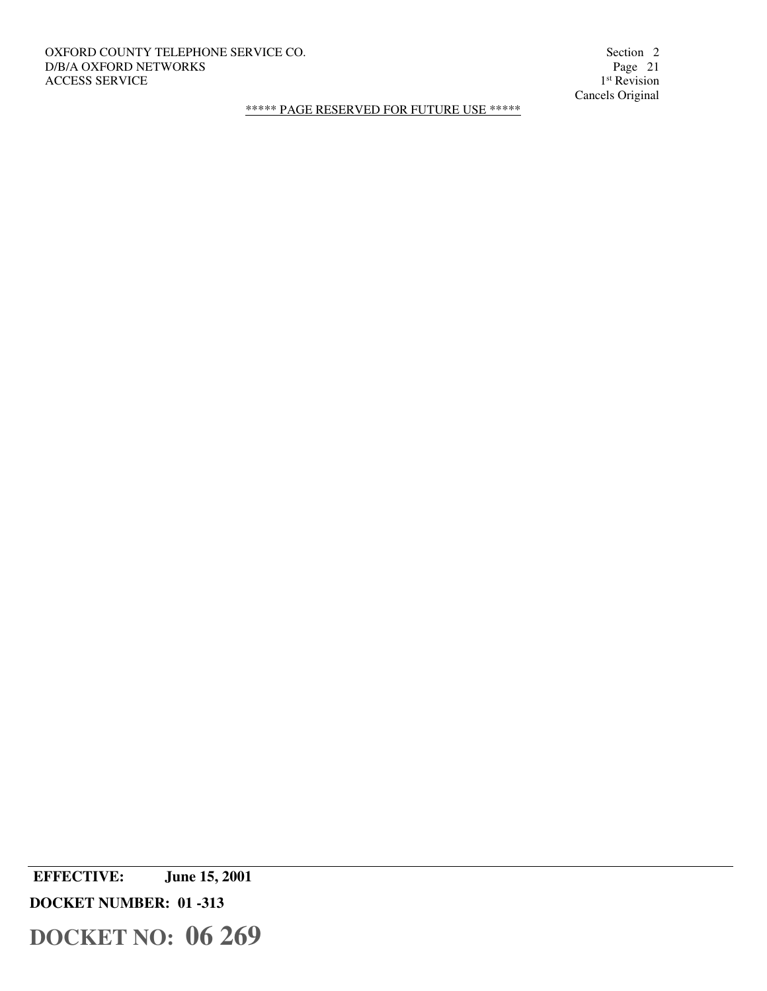# OXFORD COUNTY TELEPHONE SERVICE CO. Section 2 Section 2 D/B/A OXFORD NETWORKS Page 21 D/B/A OXFORD NETWORKS ACCESS SERVICE

1<sup>st</sup> Revision Cancels Original

\*\*\*\*\* PAGE RESERVED FOR FUTURE USE \*\*\*\*\*

 **EFFECTIVE: June 15, 2001 DOCKET NUMBER: 01 -313**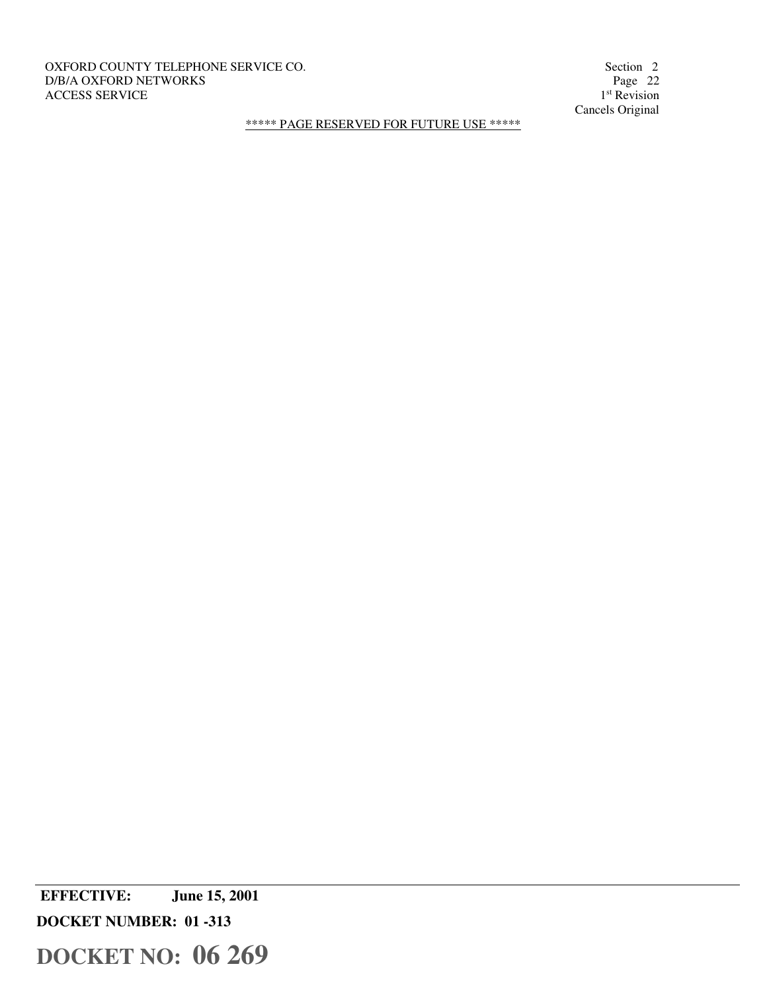OXFORD COUNTY TELEPHONE SERVICE CO. Section 2 D/B/A OXFORD NETWORKS Page 22 ACCESS SERVICE

1<sup>st</sup> Revision Cancels Original

\*\*\*\*\* PAGE RESERVED FOR FUTURE USE \*\*\*\*\*

 **EFFECTIVE: June 15, 2001** 

**DOCKET NUMBER: 01 -313**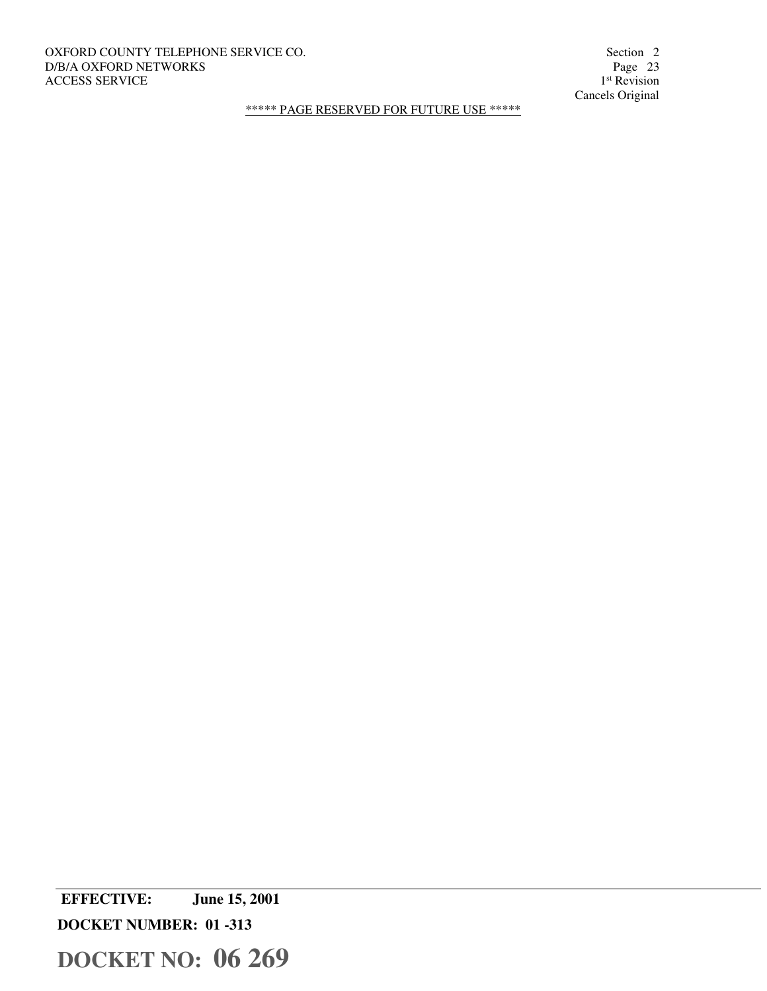# OXFORD COUNTY TELEPHONE SERVICE CO. Section 2 Section 2 D/B/A OXFORD NETWORKS Page 23 D/B/A OXFORD NETWORKS ACCESS SERVICE

1<sup>st</sup> Revision Cancels Original

\*\*\*\*\* PAGE RESERVED FOR FUTURE USE \*\*\*\*\*

 **EFFECTIVE: June 15, 2001** 

**DOCKET NUMBER: 01 -313**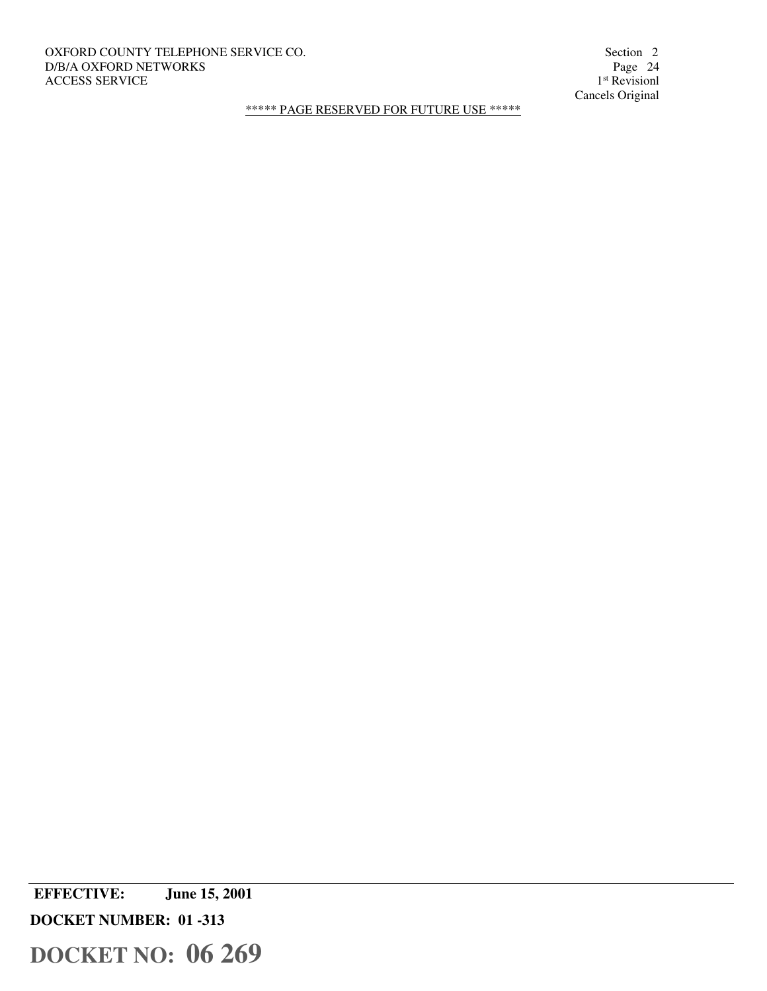# OXFORD COUNTY TELEPHONE SERVICE CO. Section 2 Section 2 D/B/A OXFORD NETWORKS Page 24 D/B/A OXFORD NETWORKS ACCESS SERVICE

1<sup>st</sup> Revisionl Cancels Original

\*\*\*\*\* PAGE RESERVED FOR FUTURE USE \*\*\*\*\*

 **EFFECTIVE: June 15, 2001 DOCKET NUMBER: 01 -313**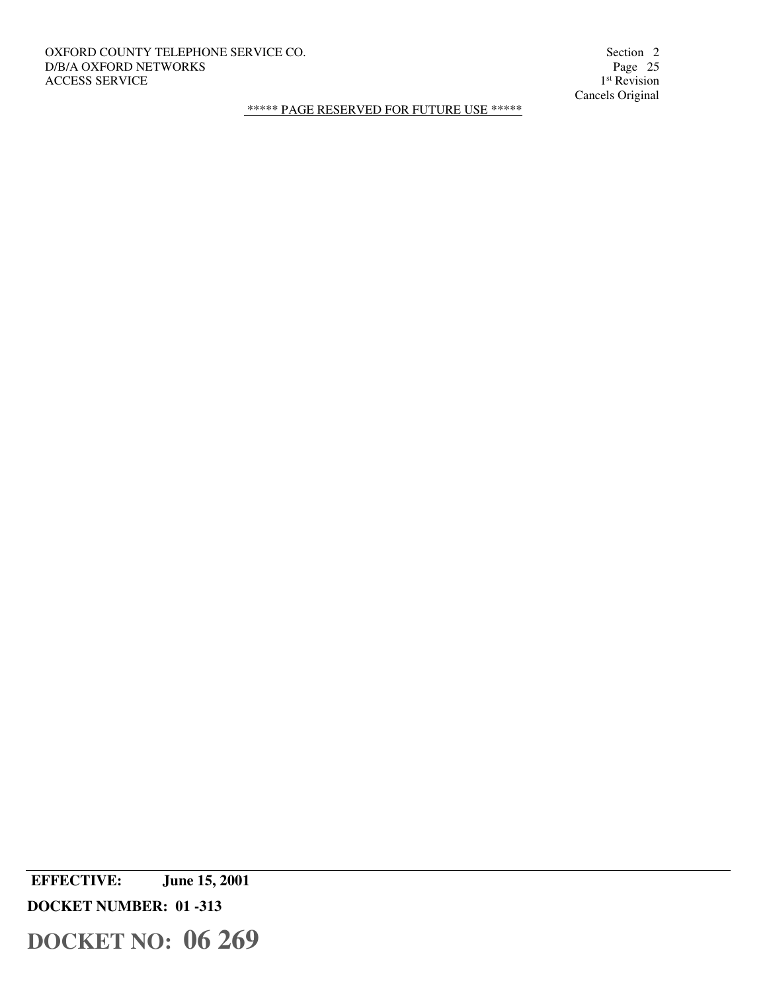# OXFORD COUNTY TELEPHONE SERVICE CO. Section 2 Section 2 D/B/A OXFORD NETWORKS Page 25 D/B/A OXFORD NETWORKS ACCESS SERVICE

1<sup>st</sup> Revision Cancels Original

\*\*\*\*\* PAGE RESERVED FOR FUTURE USE \*\*\*\*\*

 **EFFECTIVE: June 15, 2001 DOCKET NUMBER: 01 -313**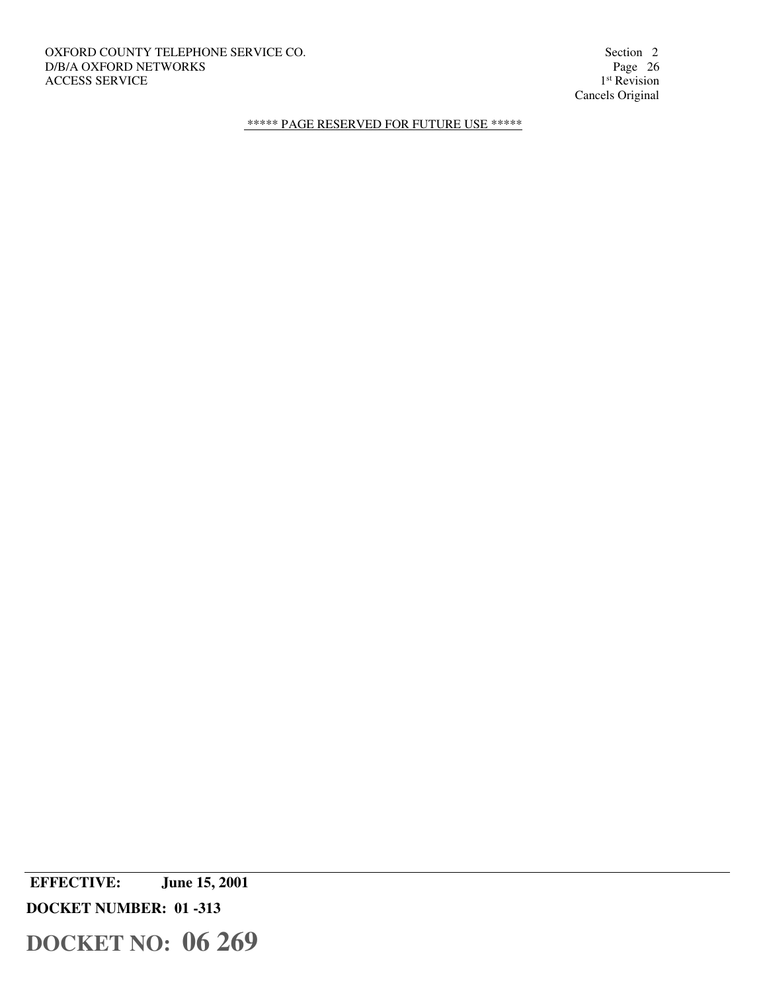OXFORD COUNTY TELEPHONE SERVICE CO. Section 2 Section 2 D/B/A OXFORD NETWORKS Page 26 D/B/A OXFORD NETWORKS ACCESS SERVICE

1<sup>st</sup> Revision Cancels Original

\*\*\*\*\* PAGE RESERVED FOR FUTURE USE \*\*\*\*\*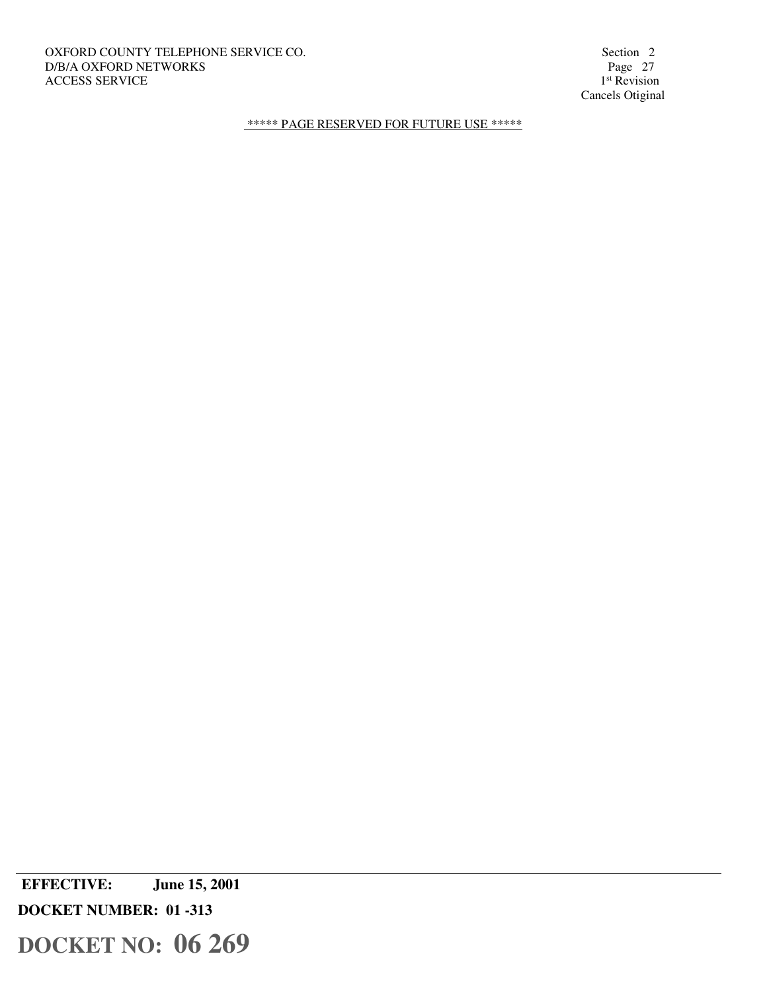OXFORD COUNTY TELEPHONE SERVICE CO. Section 2 Section 2 Section 2 Section 2 Section 2 Page 27 D/B/A OXFORD NETWORKS ACCESS SERVICE

1<sup>st</sup> Revision Cancels Otiginal

\*\*\*\*\* PAGE RESERVED FOR FUTURE USE \*\*\*\*\*

 **EFFECTIVE: June 15, 2001 DOCKET NUMBER: 01 -313**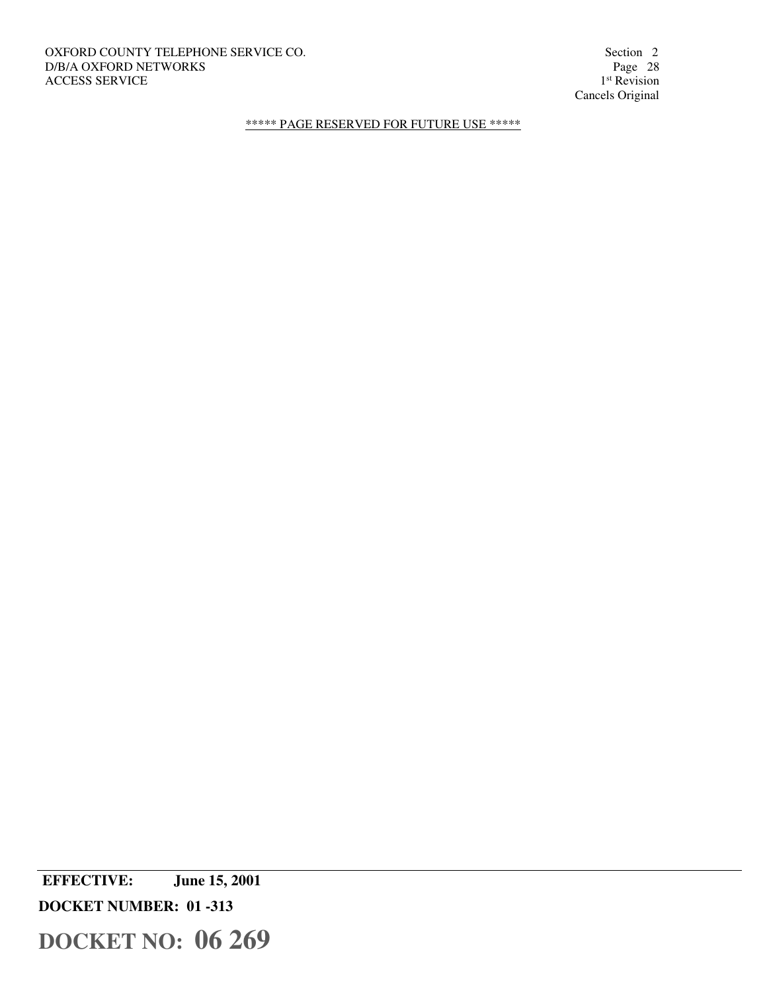OXFORD COUNTY TELEPHONE SERVICE CO. Section 2 Section 2 D/B/A OXFORD NETWORKS Page 28 D/B/A OXFORD NETWORKS ACCESS SERVICE

1<sup>st</sup> Revision Cancels Original

\*\*\*\*\* PAGE RESERVED FOR FUTURE USE \*\*\*\*\*

 **EFFECTIVE: June 15, 2001 DOCKET NUMBER: 01 -313**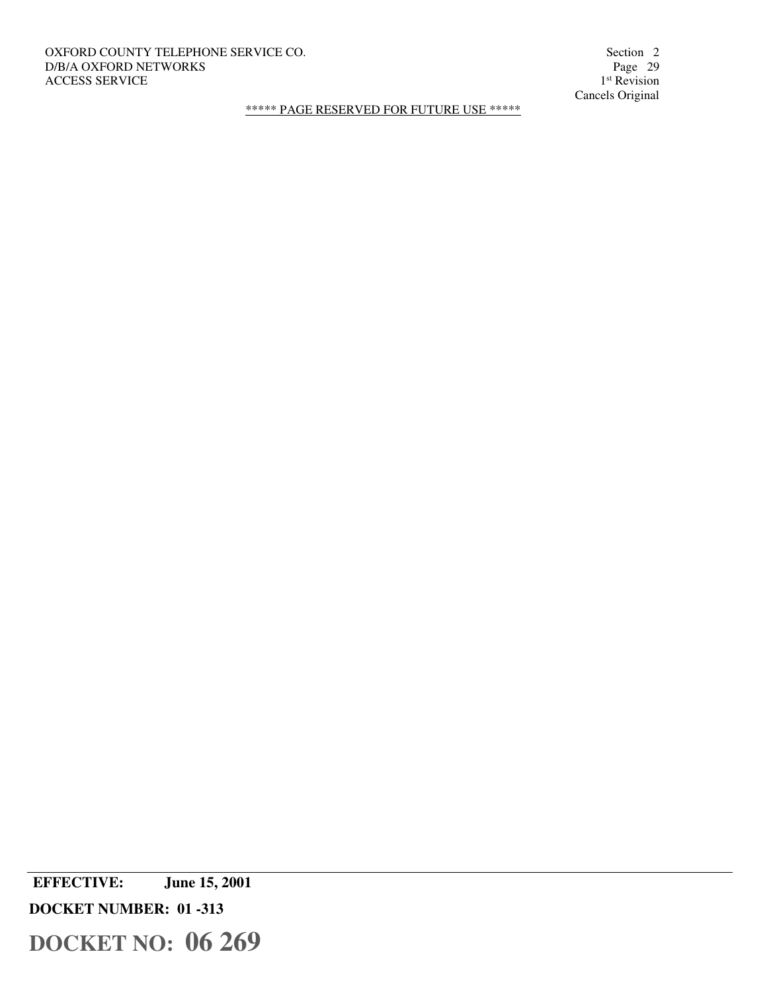# OXFORD COUNTY TELEPHONE SERVICE CO. Section 2 Section 2 D/B/A OXFORD NETWORKS Page 29 D/B/A OXFORD NETWORKS ACCESS SERVICE

1<sup>st</sup> Revision Cancels Original

\*\*\*\*\* PAGE RESERVED FOR FUTURE USE \*\*\*\*\*

 **EFFECTIVE: June 15, 2001 DOCKET NUMBER: 01 -313**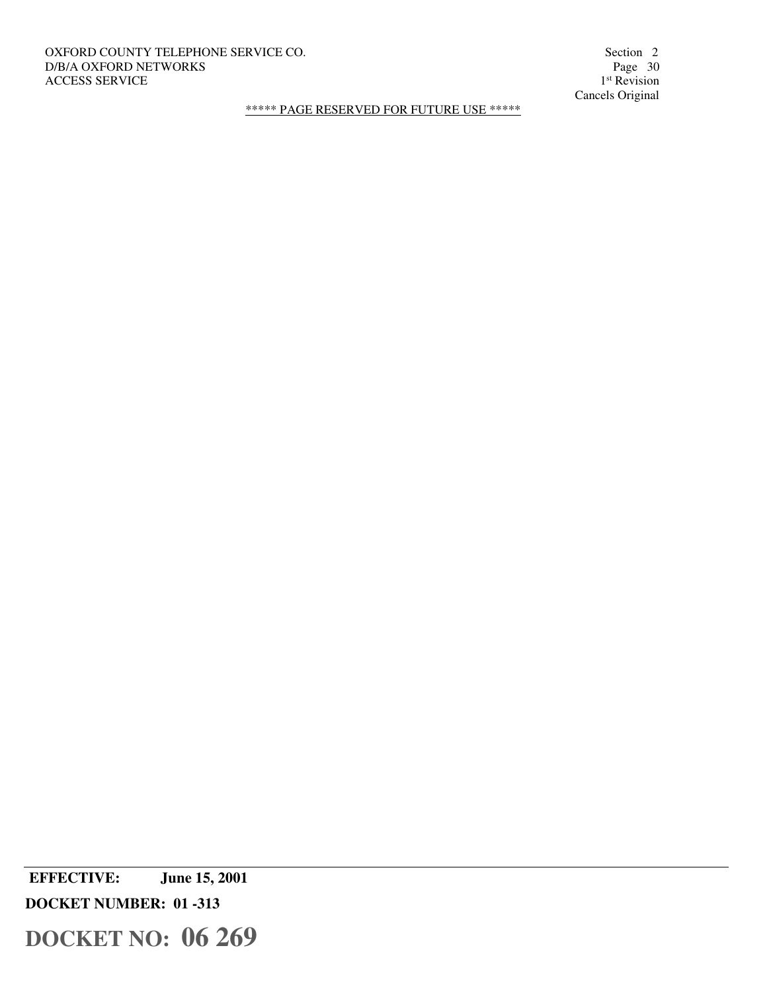# OXFORD COUNTY TELEPHONE SERVICE CO. Section 2 Section 2 D/B/A OXFORD NETWORKS Page 30 D/B/A OXFORD NETWORKS ACCESS SERVICE

1<sup>st</sup> Revision Cancels Original

\*\*\*\*\* PAGE RESERVED FOR FUTURE USE \*\*\*\*\*

 **EFFECTIVE: June 15, 2001 DOCKET NUMBER: 01 -313**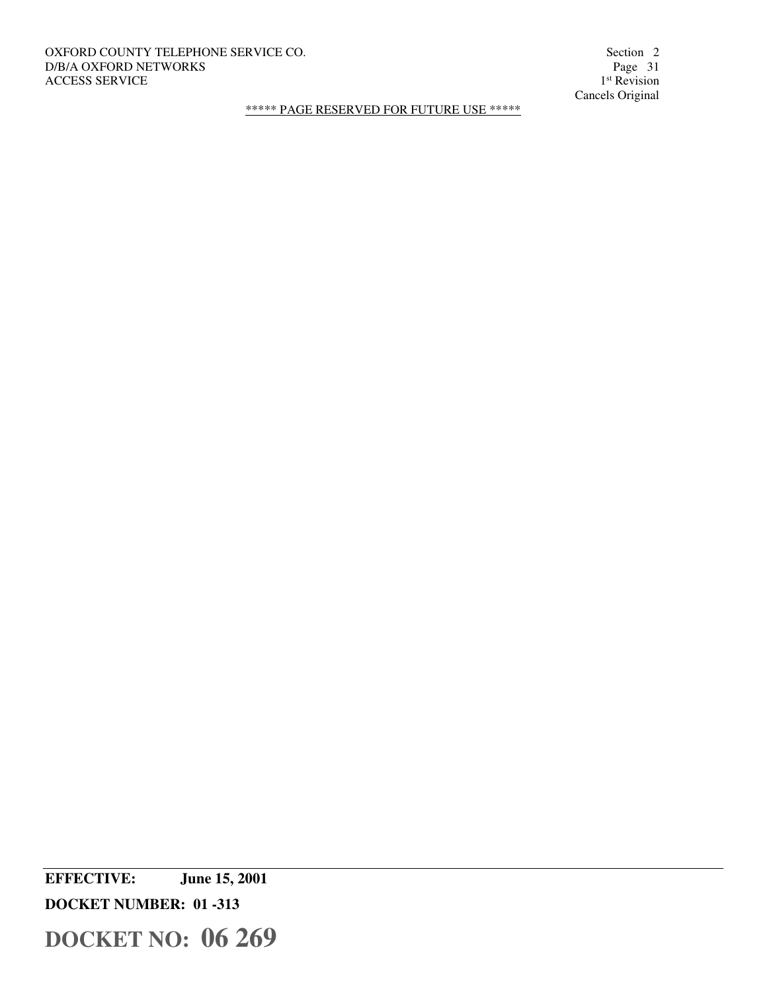# OXFORD COUNTY TELEPHONE SERVICE CO. Section 2 Section 2 Section 2 Section 2 Section 2 Section 2 Page 31 D/B/A OXFORD NETWORKS ACCESS SERVICE

1<sup>st</sup> Revision Cancels Original

\*\*\*\*\* PAGE RESERVED FOR FUTURE USE \*\*\*\*\*

**EFFECTIVE: June 15, 2001 DOCKET NUMBER: 01 -313**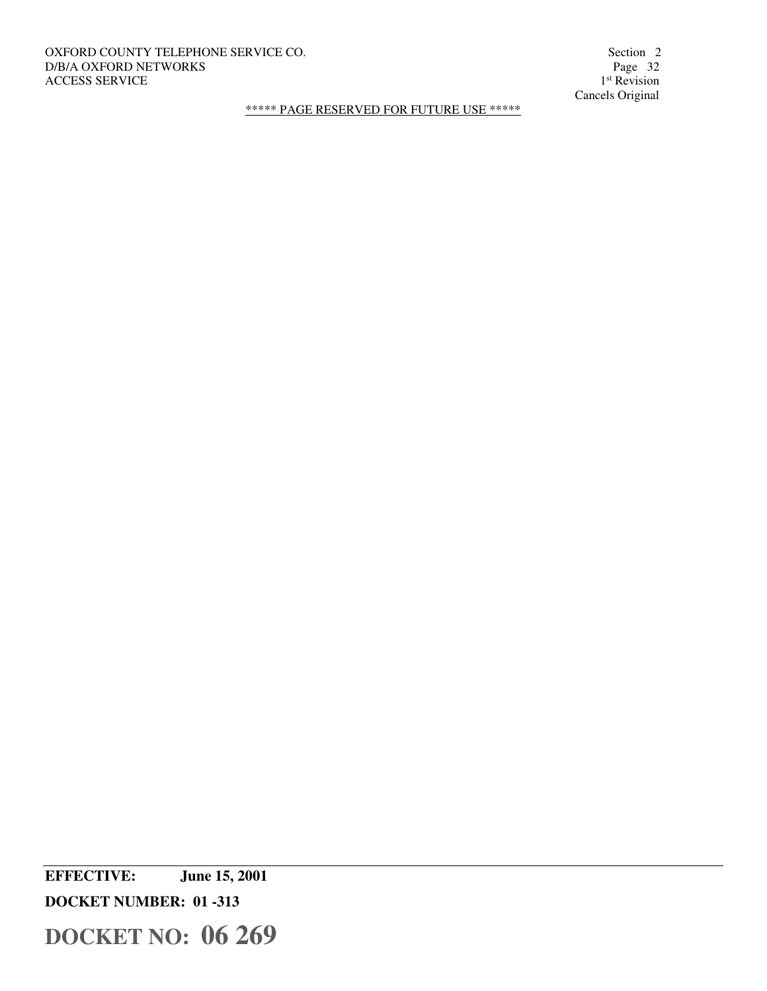# OXFORD COUNTY TELEPHONE SERVICE CO. Section 2 Section 2 Section 2 Section 2 Section 2 Page 32 D/B/A OXFORD NETWORKS ACCESS SERVICE

1<sup>st</sup> Revision Cancels Original

\*\*\*\*\* PAGE RESERVED FOR FUTURE USE \*\*\*\*\*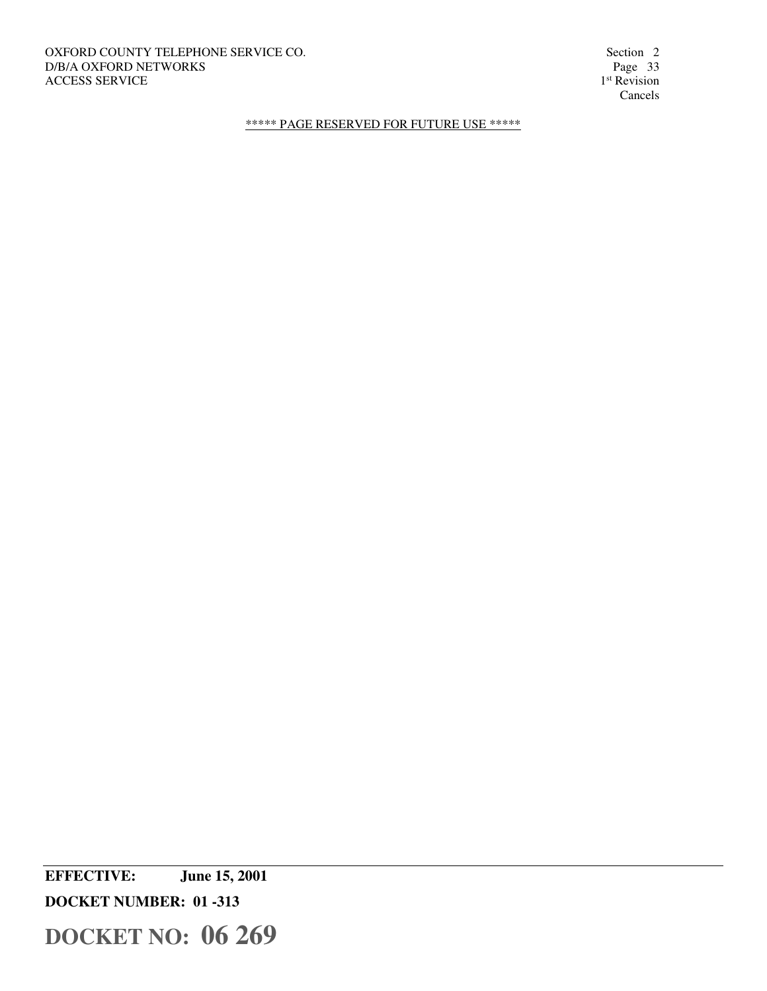OXFORD COUNTY TELEPHONE SERVICE CO. Section 2 Section 2 Section 2 Section 2 Section 2 Page 33 D/B/A OXFORD NETWORKS ACCESS SERVICE

1<sup>st</sup> Revision Cancels

\*\*\*\*\* PAGE RESERVED FOR FUTURE USE \*\*\*\*\*